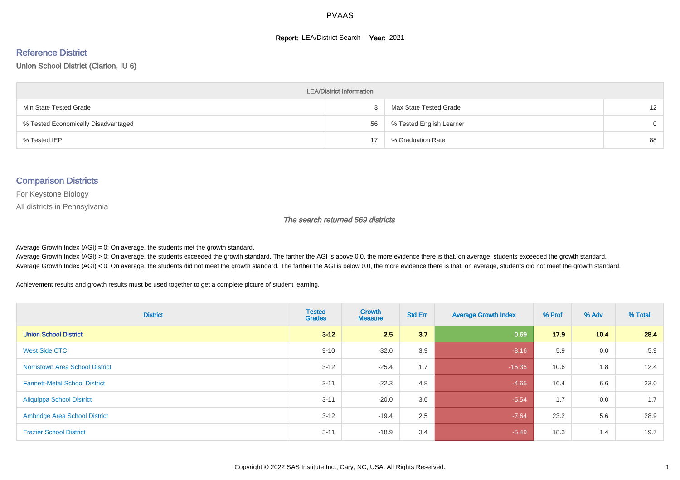#### **Report: LEA/District Search Year: 2021**

# Reference District

Union School District (Clarion, IU 6)

| <b>LEA/District Information</b>     |    |                          |                   |  |  |  |  |  |  |  |
|-------------------------------------|----|--------------------------|-------------------|--|--|--|--|--|--|--|
| Min State Tested Grade              |    | Max State Tested Grade   | $12 \overline{ }$ |  |  |  |  |  |  |  |
| % Tested Economically Disadvantaged | 56 | % Tested English Learner | $\Omega$          |  |  |  |  |  |  |  |
| % Tested IEP                        | 17 | % Graduation Rate        | 88                |  |  |  |  |  |  |  |

#### Comparison Districts

For Keystone Biology

All districts in Pennsylvania

The search returned 569 districts

Average Growth Index  $(AGI) = 0$ : On average, the students met the growth standard.

Average Growth Index (AGI) > 0: On average, the students exceeded the growth standard. The farther the AGI is above 0.0, the more evidence there is that, on average, students exceeded the growth standard. Average Growth Index (AGI) < 0: On average, the students did not meet the growth standard. The farther the AGI is below 0.0, the more evidence there is that, on average, students did not meet the growth standard.

Achievement results and growth results must be used together to get a complete picture of student learning.

| <b>District</b>                        | <b>Tested</b><br><b>Grades</b> | Growth<br><b>Measure</b> | <b>Std Err</b> | <b>Average Growth Index</b> | % Prof | % Adv | % Total |
|----------------------------------------|--------------------------------|--------------------------|----------------|-----------------------------|--------|-------|---------|
| <b>Union School District</b>           | $3 - 12$                       | 2.5                      | 3.7            | 0.69                        | 17.9   | 10.4  | 28.4    |
| West Side CTC                          | $9 - 10$                       | $-32.0$                  | 3.9            | $-8.16$                     | 5.9    | 0.0   | 5.9     |
| <b>Norristown Area School District</b> | $3 - 12$                       | $-25.4$                  | 1.7            | $-15.35$                    | 10.6   | 1.8   | 12.4    |
| <b>Fannett-Metal School District</b>   | $3 - 11$                       | $-22.3$                  | 4.8            | $-4.65$                     | 16.4   | 6.6   | 23.0    |
| <b>Aliquippa School District</b>       | $3 - 11$                       | $-20.0$                  | 3.6            | $-5.54$                     | 1.7    | 0.0   | 1.7     |
| <b>Ambridge Area School District</b>   | $3 - 12$                       | $-19.4$                  | 2.5            | $-7.64$                     | 23.2   | 5.6   | 28.9    |
| <b>Frazier School District</b>         | $3 - 11$                       | $-18.9$                  | 3.4            | $-5.49$                     | 18.3   | 1.4   | 19.7    |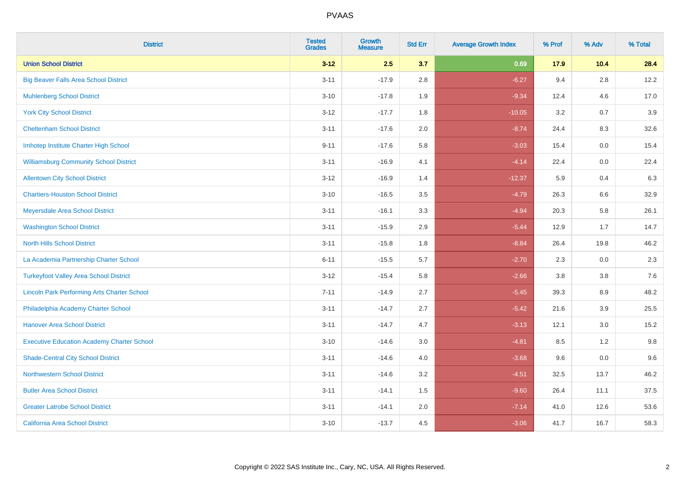| <b>District</b>                                    | <b>Tested</b><br><b>Grades</b> | <b>Growth</b><br><b>Measure</b> | <b>Std Err</b> | <b>Average Growth Index</b> | % Prof | % Adv   | % Total |
|----------------------------------------------------|--------------------------------|---------------------------------|----------------|-----------------------------|--------|---------|---------|
| <b>Union School District</b>                       | $3 - 12$                       | 2.5                             | 3.7            | 0.69                        | 17.9   | 10.4    | 28.4    |
| <b>Big Beaver Falls Area School District</b>       | $3 - 11$                       | $-17.9$                         | 2.8            | $-6.27$                     | 9.4    | 2.8     | 12.2    |
| <b>Muhlenberg School District</b>                  | $3 - 10$                       | $-17.8$                         | 1.9            | $-9.34$                     | 12.4   | 4.6     | 17.0    |
| <b>York City School District</b>                   | $3-12$                         | $-17.7$                         | 1.8            | $-10.05$                    | 3.2    | 0.7     | 3.9     |
| <b>Cheltenham School District</b>                  | $3 - 11$                       | $-17.6$                         | 2.0            | $-8.74$                     | 24.4   | 8.3     | 32.6    |
| Imhotep Institute Charter High School              | $9 - 11$                       | $-17.6$                         | 5.8            | $-3.03$                     | 15.4   | 0.0     | 15.4    |
| <b>Williamsburg Community School District</b>      | $3 - 11$                       | $-16.9$                         | 4.1            | $-4.14$                     | 22.4   | $0.0\,$ | 22.4    |
| <b>Allentown City School District</b>              | $3 - 12$                       | $-16.9$                         | 1.4            | $-12.37$                    | 5.9    | 0.4     | 6.3     |
| <b>Chartiers-Houston School District</b>           | $3 - 10$                       | $-16.5$                         | 3.5            | $-4.79$                     | 26.3   | 6.6     | 32.9    |
| Meyersdale Area School District                    | $3 - 11$                       | $-16.1$                         | 3.3            | $-4.94$                     | 20.3   | 5.8     | 26.1    |
| <b>Washington School District</b>                  | $3 - 11$                       | $-15.9$                         | 2.9            | $-5.44$                     | 12.9   | 1.7     | 14.7    |
| <b>North Hills School District</b>                 | $3 - 11$                       | $-15.8$                         | 1.8            | $-8.84$                     | 26.4   | 19.8    | 46.2    |
| La Academia Partnership Charter School             | $6 - 11$                       | $-15.5$                         | 5.7            | $-2.70$                     | 2.3    | 0.0     | 2.3     |
| <b>Turkeyfoot Valley Area School District</b>      | $3 - 12$                       | $-15.4$                         | 5.8            | $-2.66$                     | 3.8    | $3.8\,$ | 7.6     |
| <b>Lincoln Park Performing Arts Charter School</b> | $7 - 11$                       | $-14.9$                         | 2.7            | $-5.45$                     | 39.3   | 8.9     | 48.2    |
| Philadelphia Academy Charter School                | $3 - 11$                       | $-14.7$                         | 2.7            | $-5.42$                     | 21.6   | 3.9     | 25.5    |
| <b>Hanover Area School District</b>                | $3 - 11$                       | $-14.7$                         | 4.7            | $-3.13$                     | 12.1   | 3.0     | 15.2    |
| <b>Executive Education Academy Charter School</b>  | $3 - 10$                       | $-14.6$                         | 3.0            | $-4.81$                     | 8.5    | $1.2$   | 9.8     |
| <b>Shade-Central City School District</b>          | $3 - 11$                       | $-14.6$                         | 4.0            | $-3.68$                     | 9.6    | 0.0     | 9.6     |
| <b>Northwestern School District</b>                | $3 - 11$                       | $-14.6$                         | 3.2            | $-4.51$                     | 32.5   | 13.7    | 46.2    |
| <b>Butler Area School District</b>                 | $3 - 11$                       | $-14.1$                         | 1.5            | $-9.60$                     | 26.4   | 11.1    | 37.5    |
| <b>Greater Latrobe School District</b>             | $3 - 11$                       | $-14.1$                         | 2.0            | $-7.14$                     | 41.0   | 12.6    | 53.6    |
| <b>California Area School District</b>             | $3 - 10$                       | $-13.7$                         | 4.5            | $-3.06$                     | 41.7   | 16.7    | 58.3    |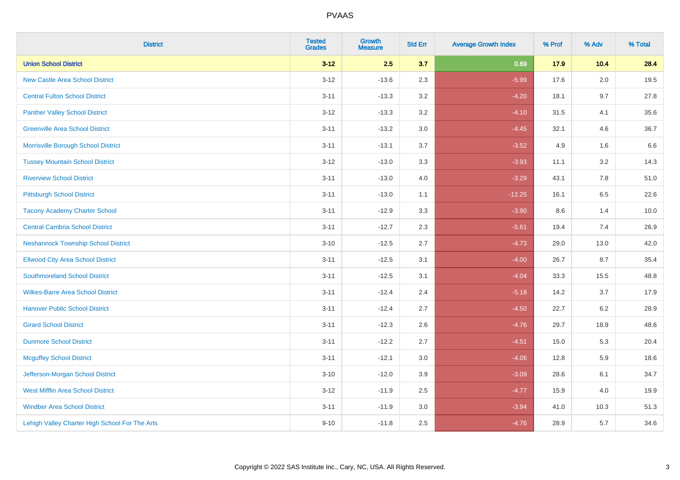| <b>District</b>                                | <b>Tested</b><br><b>Grades</b> | Growth<br><b>Measure</b> | <b>Std Err</b> | <b>Average Growth Index</b> | % Prof | % Adv   | % Total |
|------------------------------------------------|--------------------------------|--------------------------|----------------|-----------------------------|--------|---------|---------|
| <b>Union School District</b>                   | $3 - 12$                       | 2.5                      | 3.7            | 0.69                        | 17.9   | 10.4    | 28.4    |
| <b>New Castle Area School District</b>         | $3 - 12$                       | $-13.6$                  | 2.3            | $-5.99$                     | 17.6   | 2.0     | 19.5    |
| <b>Central Fulton School District</b>          | $3 - 11$                       | $-13.3$                  | 3.2            | $-4.20$                     | 18.1   | 9.7     | 27.8    |
| <b>Panther Valley School District</b>          | $3 - 12$                       | $-13.3$                  | $3.2\,$        | $-4.10$                     | 31.5   | 4.1     | 35.6    |
| <b>Greenville Area School District</b>         | $3 - 11$                       | $-13.2$                  | 3.0            | $-4.45$                     | 32.1   | 4.6     | 36.7    |
| Morrisville Borough School District            | $3 - 11$                       | $-13.1$                  | 3.7            | $-3.52$                     | 4.9    | 1.6     | 6.6     |
| <b>Tussey Mountain School District</b>         | $3 - 12$                       | $-13.0$                  | 3.3            | $-3.93$                     | 11.1   | $3.2\,$ | 14.3    |
| <b>Riverview School District</b>               | $3 - 11$                       | $-13.0$                  | 4.0            | $-3.29$                     | 43.1   | 7.8     | 51.0    |
| <b>Pittsburgh School District</b>              | $3 - 11$                       | $-13.0$                  | 1.1            | $-12.25$                    | 16.1   | 6.5     | 22.6    |
| <b>Tacony Academy Charter School</b>           | $3 - 11$                       | $-12.9$                  | 3.3            | $-3.90$                     | 8.6    | 1.4     | 10.0    |
| <b>Central Cambria School District</b>         | $3 - 11$                       | $-12.7$                  | 2.3            | $-5.61$                     | 19.4   | 7.4     | 26.9    |
| <b>Neshannock Township School District</b>     | $3 - 10$                       | $-12.5$                  | 2.7            | $-4.73$                     | 29.0   | 13.0    | 42.0    |
| <b>Ellwood City Area School District</b>       | $3 - 11$                       | $-12.5$                  | 3.1            | $-4.00$                     | 26.7   | 8.7     | 35.4    |
| <b>Southmoreland School District</b>           | $3 - 11$                       | $-12.5$                  | 3.1            | $-4.04$                     | 33.3   | 15.5    | 48.8    |
| <b>Wilkes-Barre Area School District</b>       | $3 - 11$                       | $-12.4$                  | 2.4            | $-5.18$                     | 14.2   | 3.7     | 17.9    |
| <b>Hanover Public School District</b>          | $3 - 11$                       | $-12.4$                  | 2.7            | $-4.50$                     | 22.7   | 6.2     | 28.9    |
| <b>Girard School District</b>                  | $3 - 11$                       | $-12.3$                  | 2.6            | $-4.76$                     | 29.7   | 18.9    | 48.6    |
| <b>Dunmore School District</b>                 | $3 - 11$                       | $-12.2$                  | 2.7            | $-4.51$                     | 15.0   | 5.3     | 20.4    |
| <b>Mcguffey School District</b>                | $3 - 11$                       | $-12.1$                  | 3.0            | $-4.06$                     | 12.8   | 5.9     | 18.6    |
| Jefferson-Morgan School District               | $3 - 10$                       | $-12.0$                  | 3.9            | $-3.09$                     | 28.6   | 6.1     | 34.7    |
| <b>West Mifflin Area School District</b>       | $3 - 12$                       | $-11.9$                  | 2.5            | $-4.77$                     | 15.9   | 4.0     | 19.9    |
| <b>Windber Area School District</b>            | $3 - 11$                       | $-11.9$                  | 3.0            | $-3.94$                     | 41.0   | 10.3    | 51.3    |
| Lehigh Valley Charter High School For The Arts | $9 - 10$                       | $-11.8$                  | 2.5            | $-4.76$                     | 28.9   | 5.7     | 34.6    |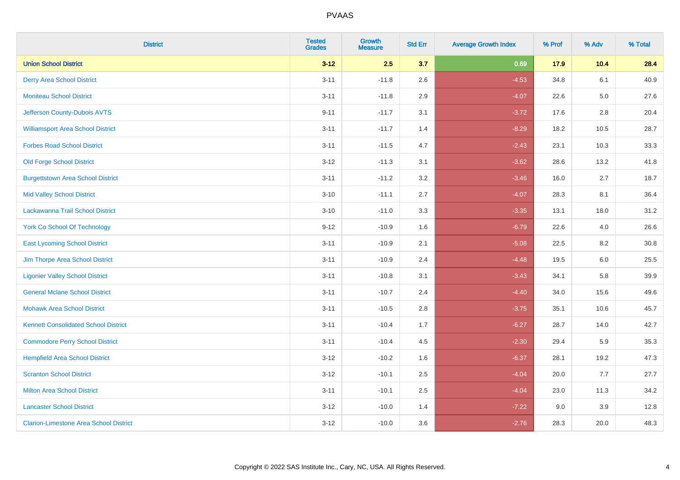| <b>District</b>                               | <b>Tested</b><br><b>Grades</b> | Growth<br><b>Measure</b> | <b>Std Err</b> | <b>Average Growth Index</b> | % Prof | % Adv   | % Total |
|-----------------------------------------------|--------------------------------|--------------------------|----------------|-----------------------------|--------|---------|---------|
| <b>Union School District</b>                  | $3 - 12$                       | 2.5                      | 3.7            | 0.69                        | 17.9   | 10.4    | 28.4    |
| <b>Derry Area School District</b>             | $3 - 11$                       | $-11.8$                  | 2.6            | $-4.53$                     | 34.8   | 6.1     | 40.9    |
| <b>Moniteau School District</b>               | $3 - 11$                       | $-11.8$                  | 2.9            | $-4.07$                     | 22.6   | $5.0\,$ | 27.6    |
| Jefferson County-Dubois AVTS                  | $9 - 11$                       | $-11.7$                  | 3.1            | $-3.72$                     | 17.6   | $2.8\,$ | 20.4    |
| <b>Williamsport Area School District</b>      | $3 - 11$                       | $-11.7$                  | 1.4            | $-8.29$                     | 18.2   | 10.5    | 28.7    |
| <b>Forbes Road School District</b>            | $3 - 11$                       | $-11.5$                  | 4.7            | $-2.43$                     | 23.1   | 10.3    | 33.3    |
| <b>Old Forge School District</b>              | $3 - 12$                       | $-11.3$                  | 3.1            | $-3.62$                     | 28.6   | 13.2    | 41.8    |
| <b>Burgettstown Area School District</b>      | $3 - 11$                       | $-11.2$                  | 3.2            | $-3.46$                     | 16.0   | 2.7     | 18.7    |
| <b>Mid Valley School District</b>             | $3 - 10$                       | $-11.1$                  | 2.7            | $-4.07$                     | 28.3   | 8.1     | 36.4    |
| Lackawanna Trail School District              | $3 - 10$                       | $-11.0$                  | 3.3            | $-3.35$                     | 13.1   | 18.0    | 31.2    |
| <b>York Co School Of Technology</b>           | $9 - 12$                       | $-10.9$                  | 1.6            | $-6.79$                     | 22.6   | 4.0     | 26.6    |
| <b>East Lycoming School District</b>          | $3 - 11$                       | $-10.9$                  | 2.1            | $-5.08$                     | 22.5   | 8.2     | 30.8    |
| Jim Thorpe Area School District               | $3 - 11$                       | $-10.9$                  | 2.4            | $-4.48$                     | 19.5   | 6.0     | 25.5    |
| <b>Ligonier Valley School District</b>        | $3 - 11$                       | $-10.8$                  | 3.1            | $-3.43$                     | 34.1   | 5.8     | 39.9    |
| <b>General Mclane School District</b>         | $3 - 11$                       | $-10.7$                  | 2.4            | $-4.40$                     | 34.0   | 15.6    | 49.6    |
| <b>Mohawk Area School District</b>            | $3 - 11$                       | $-10.5$                  | 2.8            | $-3.75$                     | 35.1   | 10.6    | 45.7    |
| <b>Kennett Consolidated School District</b>   | $3 - 11$                       | $-10.4$                  | 1.7            | $-6.27$                     | 28.7   | 14.0    | 42.7    |
| <b>Commodore Perry School District</b>        | $3 - 11$                       | $-10.4$                  | 4.5            | $-2.30$                     | 29.4   | 5.9     | 35.3    |
| <b>Hempfield Area School District</b>         | $3 - 12$                       | $-10.2$                  | 1.6            | $-6.37$                     | 28.1   | 19.2    | 47.3    |
| <b>Scranton School District</b>               | $3 - 12$                       | $-10.1$                  | 2.5            | $-4.04$                     | 20.0   | 7.7     | 27.7    |
| <b>Milton Area School District</b>            | $3 - 11$                       | $-10.1$                  | 2.5            | $-4.04$                     | 23.0   | 11.3    | 34.2    |
| <b>Lancaster School District</b>              | $3 - 12$                       | $-10.0$                  | 1.4            | $-7.22$                     | 9.0    | 3.9     | 12.8    |
| <b>Clarion-Limestone Area School District</b> | $3 - 12$                       | $-10.0$                  | 3.6            | $-2.76$                     | 28.3   | 20.0    | 48.3    |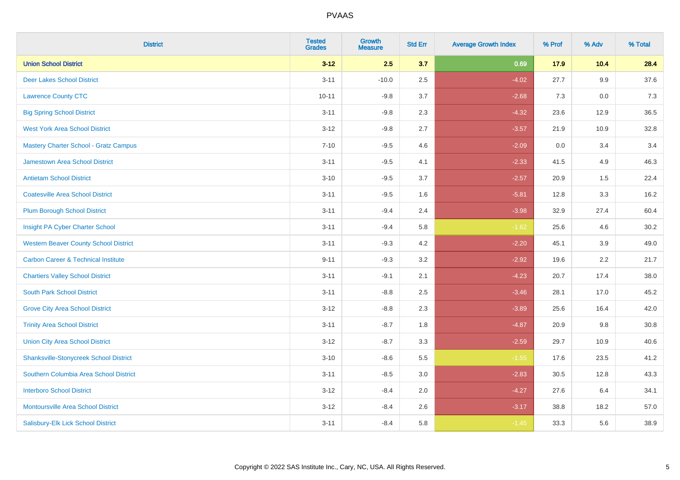| <b>District</b>                                | <b>Tested</b><br><b>Grades</b> | Growth<br><b>Measure</b> | <b>Std Err</b> | <b>Average Growth Index</b> | % Prof | % Adv | % Total |
|------------------------------------------------|--------------------------------|--------------------------|----------------|-----------------------------|--------|-------|---------|
| <b>Union School District</b>                   | $3 - 12$                       | 2.5                      | 3.7            | 0.69                        | 17.9   | 10.4  | 28.4    |
| <b>Deer Lakes School District</b>              | $3 - 11$                       | $-10.0$                  | 2.5            | $-4.02$                     | 27.7   | 9.9   | 37.6    |
| <b>Lawrence County CTC</b>                     | $10 - 11$                      | $-9.8$                   | 3.7            | $-2.68$                     | 7.3    | 0.0   | 7.3     |
| <b>Big Spring School District</b>              | $3 - 11$                       | $-9.8$                   | 2.3            | $-4.32$                     | 23.6   | 12.9  | 36.5    |
| <b>West York Area School District</b>          | $3 - 12$                       | $-9.8$                   | 2.7            | $-3.57$                     | 21.9   | 10.9  | 32.8    |
| <b>Mastery Charter School - Gratz Campus</b>   | $7 - 10$                       | $-9.5$                   | 4.6            | $-2.09$                     | 0.0    | 3.4   | 3.4     |
| Jamestown Area School District                 | $3 - 11$                       | $-9.5$                   | 4.1            | $-2.33$                     | 41.5   | 4.9   | 46.3    |
| <b>Antietam School District</b>                | $3 - 10$                       | $-9.5$                   | 3.7            | $-2.57$                     | 20.9   | 1.5   | 22.4    |
| <b>Coatesville Area School District</b>        | $3 - 11$                       | $-9.5$                   | 1.6            | $-5.81$                     | 12.8   | 3.3   | 16.2    |
| <b>Plum Borough School District</b>            | $3 - 11$                       | $-9.4$                   | 2.4            | $-3.98$                     | 32.9   | 27.4  | 60.4    |
| Insight PA Cyber Charter School                | $3 - 11$                       | $-9.4$                   | 5.8            | $-1.62$                     | 25.6   | 4.6   | 30.2    |
| <b>Western Beaver County School District</b>   | $3 - 11$                       | $-9.3$                   | 4.2            | $-2.20$                     | 45.1   | 3.9   | 49.0    |
| <b>Carbon Career &amp; Technical Institute</b> | $9 - 11$                       | $-9.3$                   | 3.2            | $-2.92$                     | 19.6   | 2.2   | 21.7    |
| <b>Chartiers Valley School District</b>        | $3 - 11$                       | $-9.1$                   | 2.1            | $-4.23$                     | 20.7   | 17.4  | 38.0    |
| <b>South Park School District</b>              | $3 - 11$                       | $-8.8$                   | 2.5            | $-3.46$                     | 28.1   | 17.0  | 45.2    |
| <b>Grove City Area School District</b>         | $3 - 12$                       | $-8.8$                   | 2.3            | $-3.89$                     | 25.6   | 16.4  | 42.0    |
| <b>Trinity Area School District</b>            | $3 - 11$                       | $-8.7$                   | 1.8            | $-4.87$                     | 20.9   | 9.8   | 30.8    |
| <b>Union City Area School District</b>         | $3 - 12$                       | $-8.7$                   | 3.3            | $-2.59$                     | 29.7   | 10.9  | 40.6    |
| <b>Shanksville-Stonycreek School District</b>  | $3 - 10$                       | $-8.6$                   | 5.5            | $-1.55$                     | 17.6   | 23.5  | 41.2    |
| Southern Columbia Area School District         | $3 - 11$                       | $-8.5$                   | 3.0            | $-2.83$                     | 30.5   | 12.8  | 43.3    |
| <b>Interboro School District</b>               | $3 - 12$                       | $-8.4$                   | 2.0            | $-4.27$                     | 27.6   | 6.4   | 34.1    |
| <b>Montoursville Area School District</b>      | $3 - 12$                       | $-8.4$                   | 2.6            | $-3.17$                     | 38.8   | 18.2  | 57.0    |
| Salisbury-Elk Lick School District             | $3 - 11$                       | $-8.4$                   | 5.8            | $-1.45$                     | 33.3   | 5.6   | 38.9    |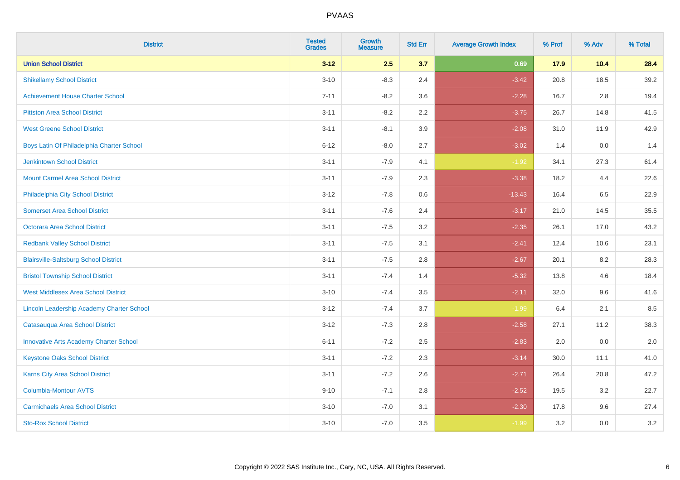| <b>District</b>                               | <b>Tested</b><br><b>Grades</b> | <b>Growth</b><br><b>Measure</b> | <b>Std Err</b> | <b>Average Growth Index</b> | % Prof | % Adv   | % Total |
|-----------------------------------------------|--------------------------------|---------------------------------|----------------|-----------------------------|--------|---------|---------|
| <b>Union School District</b>                  | $3 - 12$                       | 2.5                             | 3.7            | 0.69                        | 17.9   | 10.4    | 28.4    |
| <b>Shikellamy School District</b>             | $3 - 10$                       | $-8.3$                          | 2.4            | $-3.42$                     | 20.8   | 18.5    | 39.2    |
| <b>Achievement House Charter School</b>       | $7 - 11$                       | $-8.2$                          | 3.6            | $-2.28$                     | 16.7   | 2.8     | 19.4    |
| <b>Pittston Area School District</b>          | $3 - 11$                       | $-8.2$                          | 2.2            | $-3.75$                     | 26.7   | 14.8    | 41.5    |
| <b>West Greene School District</b>            | $3 - 11$                       | $-8.1$                          | 3.9            | $-2.08$                     | 31.0   | 11.9    | 42.9    |
| Boys Latin Of Philadelphia Charter School     | $6 - 12$                       | $-8.0$                          | 2.7            | $-3.02$                     | 1.4    | 0.0     | 1.4     |
| <b>Jenkintown School District</b>             | $3 - 11$                       | $-7.9$                          | 4.1            | $-1.92$                     | 34.1   | 27.3    | 61.4    |
| <b>Mount Carmel Area School District</b>      | $3 - 11$                       | $-7.9$                          | 2.3            | $-3.38$                     | 18.2   | 4.4     | 22.6    |
| Philadelphia City School District             | $3 - 12$                       | $-7.8$                          | 0.6            | $-13.43$                    | 16.4   | 6.5     | 22.9    |
| <b>Somerset Area School District</b>          | $3 - 11$                       | $-7.6$                          | 2.4            | $-3.17$                     | 21.0   | 14.5    | 35.5    |
| <b>Octorara Area School District</b>          | $3 - 11$                       | $-7.5$                          | 3.2            | $-2.35$                     | 26.1   | 17.0    | 43.2    |
| <b>Redbank Valley School District</b>         | $3 - 11$                       | $-7.5$                          | 3.1            | $-2.41$                     | 12.4   | 10.6    | 23.1    |
| <b>Blairsville-Saltsburg School District</b>  | $3 - 11$                       | $-7.5$                          | 2.8            | $-2.67$                     | 20.1   | $8.2\,$ | 28.3    |
| <b>Bristol Township School District</b>       | $3 - 11$                       | $-7.4$                          | 1.4            | $-5.32$                     | 13.8   | 4.6     | 18.4    |
| <b>West Middlesex Area School District</b>    | $3 - 10$                       | $-7.4$                          | 3.5            | $-2.11$                     | 32.0   | 9.6     | 41.6    |
| Lincoln Leadership Academy Charter School     | $3 - 12$                       | $-7.4$                          | 3.7            | $-1.99$                     | 6.4    | 2.1     | 8.5     |
| Catasauqua Area School District               | $3 - 12$                       | $-7.3$                          | 2.8            | $-2.58$                     | 27.1   | 11.2    | 38.3    |
| <b>Innovative Arts Academy Charter School</b> | $6 - 11$                       | $-7.2$                          | 2.5            | $-2.83$                     | 2.0    | 0.0     | 2.0     |
| <b>Keystone Oaks School District</b>          | $3 - 11$                       | $-7.2$                          | 2.3            | $-3.14$                     | 30.0   | 11.1    | 41.0    |
| <b>Karns City Area School District</b>        | $3 - 11$                       | $-7.2$                          | 2.6            | $-2.71$                     | 26.4   | 20.8    | 47.2    |
| <b>Columbia-Montour AVTS</b>                  | $9 - 10$                       | $-7.1$                          | 2.8            | $-2.52$                     | 19.5   | 3.2     | 22.7    |
| <b>Carmichaels Area School District</b>       | $3 - 10$                       | $-7.0$                          | 3.1            | $-2.30$                     | 17.8   | 9.6     | 27.4    |
| <b>Sto-Rox School District</b>                | $3 - 10$                       | $-7.0$                          | 3.5            | $-1.99$                     | 3.2    | 0.0     | 3.2     |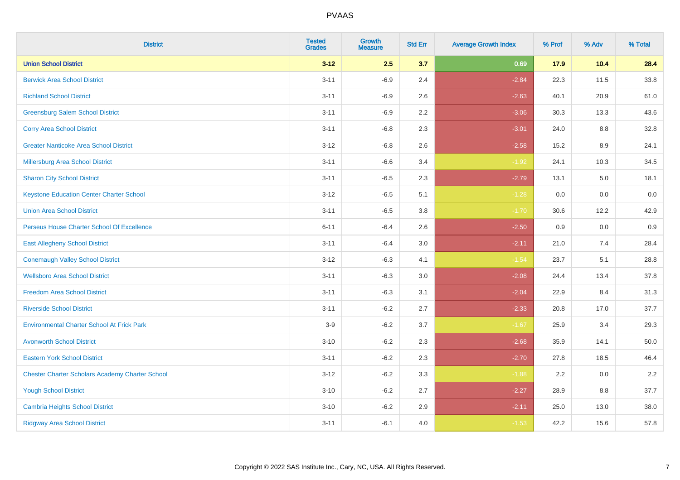| <b>District</b>                                        | <b>Tested</b><br><b>Grades</b> | Growth<br><b>Measure</b> | <b>Std Err</b> | <b>Average Growth Index</b> | % Prof | % Adv | % Total |
|--------------------------------------------------------|--------------------------------|--------------------------|----------------|-----------------------------|--------|-------|---------|
| <b>Union School District</b>                           | $3 - 12$                       | 2.5                      | 3.7            | 0.69                        | 17.9   | 10.4  | 28.4    |
| <b>Berwick Area School District</b>                    | $3 - 11$                       | $-6.9$                   | 2.4            | $-2.84$                     | 22.3   | 11.5  | 33.8    |
| <b>Richland School District</b>                        | $3 - 11$                       | $-6.9$                   | 2.6            | $-2.63$                     | 40.1   | 20.9  | 61.0    |
| <b>Greensburg Salem School District</b>                | $3 - 11$                       | $-6.9$                   | $2.2\,$        | $-3.06$                     | 30.3   | 13.3  | 43.6    |
| <b>Corry Area School District</b>                      | $3 - 11$                       | $-6.8$                   | 2.3            | $-3.01$                     | 24.0   | 8.8   | 32.8    |
| <b>Greater Nanticoke Area School District</b>          | $3 - 12$                       | $-6.8$                   | 2.6            | $-2.58$                     | 15.2   | 8.9   | 24.1    |
| <b>Millersburg Area School District</b>                | $3 - 11$                       | $-6.6$                   | 3.4            | $-1.92$                     | 24.1   | 10.3  | 34.5    |
| <b>Sharon City School District</b>                     | $3 - 11$                       | $-6.5$                   | 2.3            | $-2.79$                     | 13.1   | 5.0   | 18.1    |
| <b>Keystone Education Center Charter School</b>        | $3 - 12$                       | $-6.5$                   | 5.1            | $-1.28$                     | 0.0    | 0.0   | 0.0     |
| <b>Union Area School District</b>                      | $3 - 11$                       | $-6.5$                   | 3.8            | $-1.70$                     | 30.6   | 12.2  | 42.9    |
| Perseus House Charter School Of Excellence             | $6 - 11$                       | $-6.4$                   | 2.6            | $-2.50$                     | 0.9    | 0.0   | 0.9     |
| <b>East Allegheny School District</b>                  | $3 - 11$                       | $-6.4$                   | 3.0            | $-2.11$                     | 21.0   | 7.4   | 28.4    |
| <b>Conemaugh Valley School District</b>                | $3 - 12$                       | $-6.3$                   | 4.1            | $-1.54$                     | 23.7   | 5.1   | 28.8    |
| <b>Wellsboro Area School District</b>                  | $3 - 11$                       | $-6.3$                   | 3.0            | $-2.08$                     | 24.4   | 13.4  | 37.8    |
| <b>Freedom Area School District</b>                    | $3 - 11$                       | $-6.3$                   | 3.1            | $-2.04$                     | 22.9   | 8.4   | 31.3    |
| <b>Riverside School District</b>                       | $3 - 11$                       | $-6.2$                   | 2.7            | $-2.33$                     | 20.8   | 17.0  | 37.7    |
| <b>Environmental Charter School At Frick Park</b>      | $3-9$                          | $-6.2$                   | 3.7            | $-1.67$                     | 25.9   | 3.4   | 29.3    |
| <b>Avonworth School District</b>                       | $3 - 10$                       | $-6.2$                   | 2.3            | $-2.68$                     | 35.9   | 14.1  | 50.0    |
| <b>Eastern York School District</b>                    | $3 - 11$                       | $-6.2$                   | 2.3            | $-2.70$                     | 27.8   | 18.5  | 46.4    |
| <b>Chester Charter Scholars Academy Charter School</b> | $3 - 12$                       | $-6.2$                   | 3.3            | $-1.88$                     | 2.2    | 0.0   | 2.2     |
| <b>Yough School District</b>                           | $3 - 10$                       | $-6.2$                   | 2.7            | $-2.27$                     | 28.9   | 8.8   | 37.7    |
| <b>Cambria Heights School District</b>                 | $3 - 10$                       | $-6.2$                   | 2.9            | $-2.11$                     | 25.0   | 13.0  | 38.0    |
| <b>Ridgway Area School District</b>                    | $3 - 11$                       | $-6.1$                   | 4.0            | $-1.53$                     | 42.2   | 15.6  | 57.8    |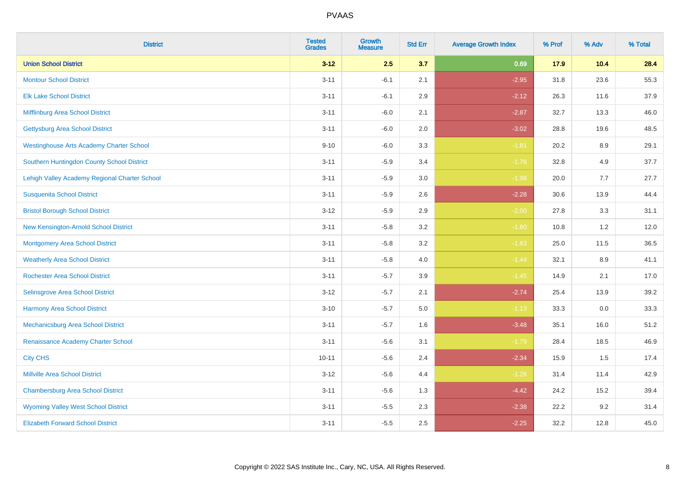| <b>District</b>                                 | <b>Tested</b><br><b>Grades</b> | <b>Growth</b><br><b>Measure</b> | <b>Std Err</b> | <b>Average Growth Index</b> | % Prof | % Adv | % Total |
|-------------------------------------------------|--------------------------------|---------------------------------|----------------|-----------------------------|--------|-------|---------|
| <b>Union School District</b>                    | $3 - 12$                       | 2.5                             | 3.7            | 0.69                        | 17.9   | 10.4  | 28.4    |
| <b>Montour School District</b>                  | $3 - 11$                       | $-6.1$                          | 2.1            | $-2.95$                     | 31.8   | 23.6  | 55.3    |
| <b>Elk Lake School District</b>                 | $3 - 11$                       | $-6.1$                          | 2.9            | $-2.12$                     | 26.3   | 11.6  | 37.9    |
| Mifflinburg Area School District                | $3 - 11$                       | $-6.0$                          | 2.1            | $-2.87$                     | 32.7   | 13.3  | 46.0    |
| <b>Gettysburg Area School District</b>          | $3 - 11$                       | $-6.0$                          | 2.0            | $-3.02$                     | 28.8   | 19.6  | 48.5    |
| <b>Westinghouse Arts Academy Charter School</b> | $9 - 10$                       | $-6.0$                          | 3.3            | $-1.81$                     | 20.2   | 8.9   | 29.1    |
| Southern Huntingdon County School District      | $3 - 11$                       | $-5.9$                          | 3.4            | $-1.76$                     | 32.8   | 4.9   | 37.7    |
| Lehigh Valley Academy Regional Charter School   | $3 - 11$                       | $-5.9$                          | 3.0            | $-1.98$                     | 20.0   | 7.7   | 27.7    |
| <b>Susquenita School District</b>               | $3 - 11$                       | $-5.9$                          | 2.6            | $-2.28$                     | 30.6   | 13.9  | 44.4    |
| <b>Bristol Borough School District</b>          | $3 - 12$                       | $-5.9$                          | 2.9            | $-2.00$                     | 27.8   | 3.3   | 31.1    |
| New Kensington-Arnold School District           | $3 - 11$                       | $-5.8$                          | 3.2            | $-1.80$                     | 10.8   | 1.2   | 12.0    |
| <b>Montgomery Area School District</b>          | $3 - 11$                       | $-5.8$                          | 3.2            | $-1.83$                     | 25.0   | 11.5  | 36.5    |
| <b>Weatherly Area School District</b>           | $3 - 11$                       | $-5.8$                          | 4.0            | $-1.44$                     | 32.1   | 8.9   | 41.1    |
| <b>Rochester Area School District</b>           | $3 - 11$                       | $-5.7$                          | 3.9            | $-1.45$                     | 14.9   | 2.1   | 17.0    |
| <b>Selinsgrove Area School District</b>         | $3 - 12$                       | $-5.7$                          | 2.1            | $-2.74$                     | 25.4   | 13.9  | 39.2    |
| <b>Harmony Area School District</b>             | $3 - 10$                       | $-5.7$                          | 5.0            | $-1.13$                     | 33.3   | 0.0   | 33.3    |
| Mechanicsburg Area School District              | $3 - 11$                       | $-5.7$                          | 1.6            | $-3.48$                     | 35.1   | 16.0  | 51.2    |
| Renaissance Academy Charter School              | $3 - 11$                       | $-5.6$                          | 3.1            | $-1.79$                     | 28.4   | 18.5  | 46.9    |
| <b>City CHS</b>                                 | $10 - 11$                      | $-5.6$                          | 2.4            | $-2.34$                     | 15.9   | 1.5   | 17.4    |
| <b>Millville Area School District</b>           | $3 - 12$                       | $-5.6$                          | 4.4            | $-1.26$                     | 31.4   | 11.4  | 42.9    |
| <b>Chambersburg Area School District</b>        | $3 - 11$                       | $-5.6$                          | 1.3            | $-4.42$                     | 24.2   | 15.2  | 39.4    |
| <b>Wyoming Valley West School District</b>      | $3 - 11$                       | $-5.5$                          | 2.3            | $-2.38$                     | 22.2   | 9.2   | 31.4    |
| <b>Elizabeth Forward School District</b>        | $3 - 11$                       | $-5.5$                          | 2.5            | $-2.25$                     | 32.2   | 12.8  | 45.0    |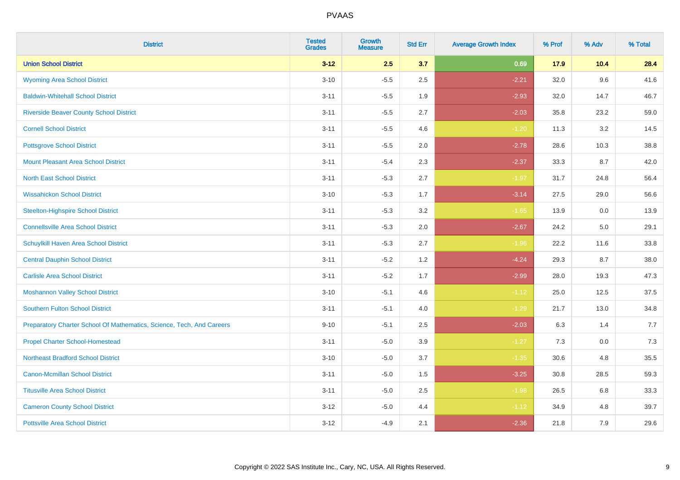| <b>District</b>                                                       | <b>Tested</b><br><b>Grades</b> | Growth<br><b>Measure</b> | <b>Std Err</b> | <b>Average Growth Index</b> | % Prof | % Adv | % Total |
|-----------------------------------------------------------------------|--------------------------------|--------------------------|----------------|-----------------------------|--------|-------|---------|
| <b>Union School District</b>                                          | $3 - 12$                       | 2.5                      | 3.7            | 0.69                        | 17.9   | 10.4  | 28.4    |
| <b>Wyoming Area School District</b>                                   | $3 - 10$                       | $-5.5$                   | 2.5            | $-2.21$                     | 32.0   | 9.6   | 41.6    |
| <b>Baldwin-Whitehall School District</b>                              | $3 - 11$                       | $-5.5$                   | 1.9            | $-2.93$                     | 32.0   | 14.7  | 46.7    |
| <b>Riverside Beaver County School District</b>                        | $3 - 11$                       | $-5.5$                   | 2.7            | $-2.03$                     | 35.8   | 23.2  | 59.0    |
| <b>Cornell School District</b>                                        | $3 - 11$                       | $-5.5$                   | 4.6            | $-1.20$                     | 11.3   | 3.2   | 14.5    |
| <b>Pottsgrove School District</b>                                     | $3 - 11$                       | $-5.5$                   | 2.0            | $-2.78$                     | 28.6   | 10.3  | 38.8    |
| <b>Mount Pleasant Area School District</b>                            | $3 - 11$                       | $-5.4$                   | 2.3            | $-2.37$                     | 33.3   | 8.7   | 42.0    |
| <b>North East School District</b>                                     | $3 - 11$                       | $-5.3$                   | 2.7            | $-1.97$                     | 31.7   | 24.8  | 56.4    |
| <b>Wissahickon School District</b>                                    | $3 - 10$                       | $-5.3$                   | 1.7            | $-3.14$                     | 27.5   | 29.0  | 56.6    |
| <b>Steelton-Highspire School District</b>                             | $3 - 11$                       | $-5.3$                   | 3.2            | $-1.65$                     | 13.9   | 0.0   | 13.9    |
| <b>Connellsville Area School District</b>                             | $3 - 11$                       | $-5.3$                   | 2.0            | $-2.67$                     | 24.2   | 5.0   | 29.1    |
| Schuylkill Haven Area School District                                 | $3 - 11$                       | $-5.3$                   | 2.7            | $-1.96$                     | 22.2   | 11.6  | 33.8    |
| <b>Central Dauphin School District</b>                                | $3 - 11$                       | $-5.2$                   | 1.2            | $-4.24$                     | 29.3   | 8.7   | 38.0    |
| <b>Carlisle Area School District</b>                                  | $3 - 11$                       | $-5.2$                   | 1.7            | $-2.99$                     | 28.0   | 19.3  | 47.3    |
| <b>Moshannon Valley School District</b>                               | $3 - 10$                       | $-5.1$                   | 4.6            | $-1.12$                     | 25.0   | 12.5  | 37.5    |
| <b>Southern Fulton School District</b>                                | $3 - 11$                       | $-5.1$                   | 4.0            | $-1.29$                     | 21.7   | 13.0  | 34.8    |
| Preparatory Charter School Of Mathematics, Science, Tech, And Careers | $9 - 10$                       | $-5.1$                   | 2.5            | $-2.03$                     | 6.3    | 1.4   | 7.7     |
| <b>Propel Charter School-Homestead</b>                                | $3 - 11$                       | $-5.0$                   | 3.9            | $-1.27$                     | 7.3    | 0.0   | 7.3     |
| <b>Northeast Bradford School District</b>                             | $3 - 10$                       | $-5.0$                   | 3.7            | $-1.35$                     | 30.6   | 4.8   | 35.5    |
| <b>Canon-Mcmillan School District</b>                                 | $3 - 11$                       | $-5.0$                   | 1.5            | $-3.25$                     | 30.8   | 28.5  | 59.3    |
| <b>Titusville Area School District</b>                                | $3 - 11$                       | $-5.0$                   | 2.5            | $-1.98$                     | 26.5   | 6.8   | 33.3    |
| <b>Cameron County School District</b>                                 | $3 - 12$                       | $-5.0$                   | 4.4            | $-1.12$                     | 34.9   | 4.8   | 39.7    |
| <b>Pottsville Area School District</b>                                | $3 - 12$                       | $-4.9$                   | 2.1            | $-2.36$                     | 21.8   | 7.9   | 29.6    |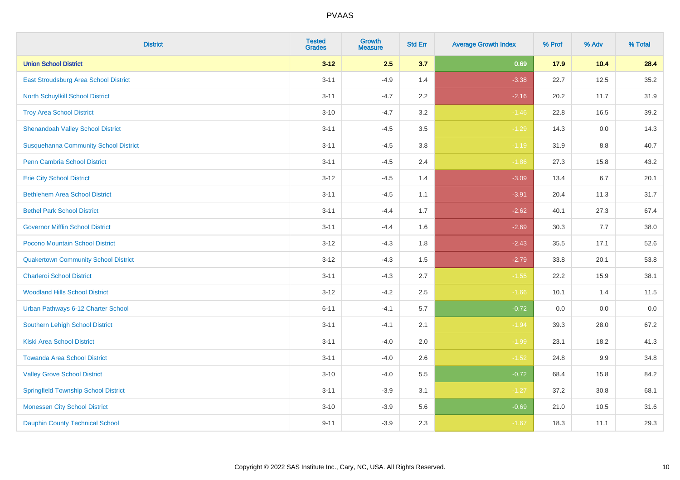| <b>District</b>                              | <b>Tested</b><br><b>Grades</b> | <b>Growth</b><br><b>Measure</b> | <b>Std Err</b> | <b>Average Growth Index</b> | % Prof | % Adv | % Total |
|----------------------------------------------|--------------------------------|---------------------------------|----------------|-----------------------------|--------|-------|---------|
| <b>Union School District</b>                 | $3 - 12$                       | 2.5                             | 3.7            | 0.69                        | 17.9   | 10.4  | 28.4    |
| East Stroudsburg Area School District        | $3 - 11$                       | $-4.9$                          | 1.4            | $-3.38$                     | 22.7   | 12.5  | 35.2    |
| North Schuylkill School District             | $3 - 11$                       | $-4.7$                          | 2.2            | $-2.16$                     | 20.2   | 11.7  | 31.9    |
| <b>Troy Area School District</b>             | $3 - 10$                       | $-4.7$                          | 3.2            | $-1.46$                     | 22.8   | 16.5  | 39.2    |
| <b>Shenandoah Valley School District</b>     | $3 - 11$                       | $-4.5$                          | 3.5            | $-1.29$                     | 14.3   | 0.0   | 14.3    |
| <b>Susquehanna Community School District</b> | $3 - 11$                       | $-4.5$                          | 3.8            | $-1.19$                     | 31.9   | 8.8   | 40.7    |
| Penn Cambria School District                 | $3 - 11$                       | $-4.5$                          | 2.4            | $-1.86$                     | 27.3   | 15.8  | 43.2    |
| <b>Erie City School District</b>             | $3 - 12$                       | $-4.5$                          | 1.4            | $-3.09$                     | 13.4   | 6.7   | 20.1    |
| <b>Bethlehem Area School District</b>        | $3 - 11$                       | $-4.5$                          | 1.1            | $-3.91$                     | 20.4   | 11.3  | 31.7    |
| <b>Bethel Park School District</b>           | $3 - 11$                       | $-4.4$                          | 1.7            | $-2.62$                     | 40.1   | 27.3  | 67.4    |
| <b>Governor Mifflin School District</b>      | $3 - 11$                       | $-4.4$                          | 1.6            | $-2.69$                     | 30.3   | 7.7   | 38.0    |
| Pocono Mountain School District              | $3 - 12$                       | $-4.3$                          | 1.8            | $-2.43$                     | 35.5   | 17.1  | 52.6    |
| <b>Quakertown Community School District</b>  | $3 - 12$                       | $-4.3$                          | 1.5            | $-2.79$                     | 33.8   | 20.1  | 53.8    |
| <b>Charleroi School District</b>             | $3 - 11$                       | $-4.3$                          | 2.7            | $-1.55$                     | 22.2   | 15.9  | 38.1    |
| <b>Woodland Hills School District</b>        | $3 - 12$                       | $-4.2$                          | 2.5            | $-1.66$                     | 10.1   | 1.4   | 11.5    |
| Urban Pathways 6-12 Charter School           | $6 - 11$                       | $-4.1$                          | 5.7            | $-0.72$                     | 0.0    | 0.0   | 0.0     |
| Southern Lehigh School District              | $3 - 11$                       | $-4.1$                          | 2.1            | $-1.94$                     | 39.3   | 28.0  | 67.2    |
| <b>Kiski Area School District</b>            | $3 - 11$                       | $-4.0$                          | 2.0            | $-1.99$                     | 23.1   | 18.2  | 41.3    |
| <b>Towanda Area School District</b>          | $3 - 11$                       | $-4.0$                          | 2.6            | $-1.52$                     | 24.8   | 9.9   | 34.8    |
| <b>Valley Grove School District</b>          | $3 - 10$                       | $-4.0$                          | 5.5            | $-0.72$                     | 68.4   | 15.8  | 84.2    |
| <b>Springfield Township School District</b>  | $3 - 11$                       | $-3.9$                          | 3.1            | $-1.27$                     | 37.2   | 30.8  | 68.1    |
| <b>Monessen City School District</b>         | $3 - 10$                       | $-3.9$                          | 5.6            | $-0.69$                     | 21.0   | 10.5  | 31.6    |
| <b>Dauphin County Technical School</b>       | $9 - 11$                       | $-3.9$                          | 2.3            | $-1.67$                     | 18.3   | 11.1  | 29.3    |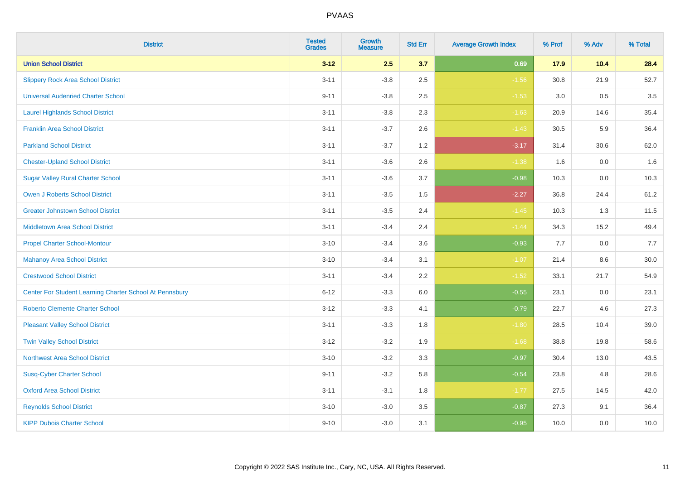| <b>District</b>                                         | <b>Tested</b><br><b>Grades</b> | Growth<br><b>Measure</b> | <b>Std Err</b> | <b>Average Growth Index</b> | % Prof | % Adv | % Total |
|---------------------------------------------------------|--------------------------------|--------------------------|----------------|-----------------------------|--------|-------|---------|
| <b>Union School District</b>                            | $3 - 12$                       | 2.5                      | 3.7            | 0.69                        | 17.9   | 10.4  | 28.4    |
| <b>Slippery Rock Area School District</b>               | $3 - 11$                       | $-3.8$                   | 2.5            | $-1.56$                     | 30.8   | 21.9  | 52.7    |
| <b>Universal Audenried Charter School</b>               | $9 - 11$                       | $-3.8$                   | 2.5            | $-1.53$                     | 3.0    | 0.5   | 3.5     |
| <b>Laurel Highlands School District</b>                 | $3 - 11$                       | $-3.8$                   | 2.3            | $-1.63$                     | 20.9   | 14.6  | 35.4    |
| <b>Franklin Area School District</b>                    | $3 - 11$                       | $-3.7$                   | 2.6            | $-1.43$                     | 30.5   | 5.9   | 36.4    |
| <b>Parkland School District</b>                         | $3 - 11$                       | $-3.7$                   | 1.2            | $-3.17$                     | 31.4   | 30.6  | 62.0    |
| <b>Chester-Upland School District</b>                   | $3 - 11$                       | $-3.6$                   | 2.6            | $-1.38$                     | 1.6    | 0.0   | 1.6     |
| <b>Sugar Valley Rural Charter School</b>                | $3 - 11$                       | $-3.6$                   | 3.7            | $-0.98$                     | 10.3   | 0.0   | 10.3    |
| <b>Owen J Roberts School District</b>                   | $3 - 11$                       | $-3.5$                   | 1.5            | $-2.27$                     | 36.8   | 24.4  | 61.2    |
| <b>Greater Johnstown School District</b>                | $3 - 11$                       | $-3.5$                   | 2.4            | $-1.45$                     | 10.3   | 1.3   | 11.5    |
| <b>Middletown Area School District</b>                  | $3 - 11$                       | $-3.4$                   | 2.4            | $-1.44$                     | 34.3   | 15.2  | 49.4    |
| <b>Propel Charter School-Montour</b>                    | $3 - 10$                       | $-3.4$                   | 3.6            | $-0.93$                     | 7.7    | 0.0   | 7.7     |
| <b>Mahanoy Area School District</b>                     | $3 - 10$                       | $-3.4$                   | 3.1            | $-1.07$                     | 21.4   | 8.6   | 30.0    |
| <b>Crestwood School District</b>                        | $3 - 11$                       | $-3.4$                   | 2.2            | $-1.52$                     | 33.1   | 21.7  | 54.9    |
| Center For Student Learning Charter School At Pennsbury | $6 - 12$                       | $-3.3$                   | 6.0            | $-0.55$                     | 23.1   | 0.0   | 23.1    |
| <b>Roberto Clemente Charter School</b>                  | $3 - 12$                       | $-3.3$                   | 4.1            | $-0.79$                     | 22.7   | 4.6   | 27.3    |
| <b>Pleasant Valley School District</b>                  | $3 - 11$                       | $-3.3$                   | 1.8            | $-1.80$                     | 28.5   | 10.4  | 39.0    |
| <b>Twin Valley School District</b>                      | $3 - 12$                       | $-3.2$                   | 1.9            | $-1.68$                     | 38.8   | 19.8  | 58.6    |
| <b>Northwest Area School District</b>                   | $3 - 10$                       | $-3.2$                   | 3.3            | $-0.97$                     | 30.4   | 13.0  | 43.5    |
| <b>Susq-Cyber Charter School</b>                        | $9 - 11$                       | $-3.2$                   | 5.8            | $-0.54$                     | 23.8   | 4.8   | 28.6    |
| <b>Oxford Area School District</b>                      | $3 - 11$                       | $-3.1$                   | 1.8            | $-1.77$                     | 27.5   | 14.5  | 42.0    |
| <b>Reynolds School District</b>                         | $3 - 10$                       | $-3.0$                   | 3.5            | $-0.87$                     | 27.3   | 9.1   | 36.4    |
| <b>KIPP Dubois Charter School</b>                       | $9 - 10$                       | $-3.0$                   | 3.1            | $-0.95$                     | 10.0   | 0.0   | 10.0    |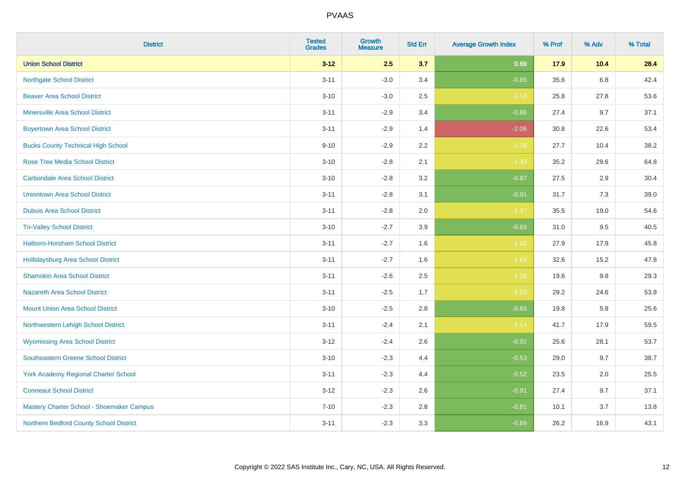| <b>District</b>                             | <b>Tested</b><br><b>Grades</b> | <b>Growth</b><br><b>Measure</b> | <b>Std Err</b> | <b>Average Growth Index</b> | % Prof | % Adv | % Total |
|---------------------------------------------|--------------------------------|---------------------------------|----------------|-----------------------------|--------|-------|---------|
| <b>Union School District</b>                | $3 - 12$                       | 2.5                             | 3.7            | 0.69                        | 17.9   | 10.4  | 28.4    |
| <b>Northgate School District</b>            | $3 - 11$                       | $-3.0$                          | 3.4            | $-0.85$                     | 35.6   | 6.8   | 42.4    |
| <b>Beaver Area School District</b>          | $3 - 10$                       | $-3.0$                          | 2.5            | $-1.16$                     | 25.8   | 27.8  | 53.6    |
| <b>Minersville Area School District</b>     | $3 - 11$                       | $-2.9$                          | 3.4            | $-0.86$                     | 27.4   | 9.7   | 37.1    |
| <b>Boyertown Area School District</b>       | $3 - 11$                       | $-2.9$                          | 1.4            | $-2.06$                     | 30.8   | 22.6  | 53.4    |
| <b>Bucks County Technical High School</b>   | $9 - 10$                       | $-2.9$                          | 2.2            | $-1.29$                     | 27.7   | 10.4  | 38.2    |
| <b>Rose Tree Media School District</b>      | $3 - 10$                       | $-2.8$                          | 2.1            | $-1.33$                     | 35.2   | 29.6  | 64.8    |
| <b>Carbondale Area School District</b>      | $3 - 10$                       | $-2.8$                          | 3.2            | $-0.87$                     | 27.5   | 2.9   | 30.4    |
| <b>Uniontown Area School District</b>       | $3 - 11$                       | $-2.8$                          | 3.1            | $-0.91$                     | 31.7   | 7.3   | 39.0    |
| <b>Dubois Area School District</b>          | $3 - 11$                       | $-2.8$                          | 2.0            | $-1.37$                     | 35.5   | 19.0  | 54.6    |
| <b>Tri-Valley School District</b>           | $3 - 10$                       | $-2.7$                          | 3.9            | $-0.69$                     | 31.0   | 9.5   | 40.5    |
| Hatboro-Horsham School District             | $3 - 11$                       | $-2.7$                          | 1.6            | $-1.65$                     | 27.9   | 17.9  | 45.8    |
| Hollidaysburg Area School District          | $3 - 11$                       | $-2.7$                          | 1.6            | $-1.64$                     | 32.6   | 15.2  | 47.8    |
| <b>Shamokin Area School District</b>        | $3 - 11$                       | $-2.6$                          | 2.5            | $-1.06$                     | 19.6   | 9.8   | 29.3    |
| <b>Nazareth Area School District</b>        | $3 - 11$                       | $-2.5$                          | 1.7            | $-1.53$                     | 29.2   | 24.6  | 53.8    |
| <b>Mount Union Area School District</b>     | $3 - 10$                       | $-2.5$                          | 2.8            | $-0.89$                     | 19.8   | 5.8   | 25.6    |
| Northwestern Lehigh School District         | $3 - 11$                       | $-2.4$                          | 2.1            | $-1.14$                     | 41.7   | 17.9  | 59.5    |
| <b>Wyomissing Area School District</b>      | $3 - 12$                       | $-2.4$                          | 2.6            | $-0.92$                     | 25.6   | 28.1  | 53.7    |
| <b>Southeastern Greene School District</b>  | $3 - 10$                       | $-2.3$                          | 4.4            | $-0.53$                     | 29.0   | 9.7   | 38.7    |
| <b>York Academy Regional Charter School</b> | $3 - 11$                       | $-2.3$                          | 4.4            | $-0.52$                     | 23.5   | 2.0   | 25.5    |
| <b>Conneaut School District</b>             | $3 - 12$                       | $-2.3$                          | 2.6            | $-0.91$                     | 27.4   | 9.7   | 37.1    |
| Mastery Charter School - Shoemaker Campus   | $7 - 10$                       | $-2.3$                          | 2.8            | $-0.81$                     | 10.1   | 3.7   | 13.8    |
| Northern Bedford County School District     | $3 - 11$                       | $-2.3$                          | 3.3            | $-0.69$                     | 26.2   | 16.9  | 43.1    |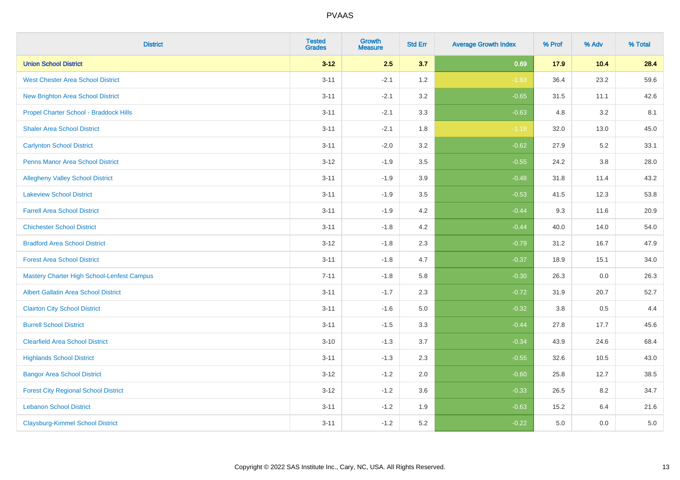| <b>District</b>                                   | <b>Tested</b><br><b>Grades</b> | Growth<br><b>Measure</b> | <b>Std Err</b> | <b>Average Growth Index</b> | % Prof | % Adv   | % Total |
|---------------------------------------------------|--------------------------------|--------------------------|----------------|-----------------------------|--------|---------|---------|
| <b>Union School District</b>                      | $3 - 12$                       | 2.5                      | 3.7            | 0.69                        | 17.9   | 10.4    | 28.4    |
| <b>West Chester Area School District</b>          | $3 - 11$                       | $-2.1$                   | 1.2            | $-1.83$                     | 36.4   | 23.2    | 59.6    |
| New Brighton Area School District                 | $3 - 11$                       | $-2.1$                   | 3.2            | $-0.65$                     | 31.5   | 11.1    | 42.6    |
| Propel Charter School - Braddock Hills            | $3 - 11$                       | $-2.1$                   | 3.3            | $-0.63$                     | 4.8    | 3.2     | 8.1     |
| <b>Shaler Area School District</b>                | $3 - 11$                       | $-2.1$                   | 1.8            | $-1.18$                     | 32.0   | 13.0    | 45.0    |
| <b>Carlynton School District</b>                  | $3 - 11$                       | $-2.0$                   | 3.2            | $-0.62$                     | 27.9   | 5.2     | 33.1    |
| <b>Penns Manor Area School District</b>           | $3 - 12$                       | $-1.9$                   | 3.5            | $-0.55$                     | 24.2   | $3.8\,$ | 28.0    |
| <b>Allegheny Valley School District</b>           | $3 - 11$                       | $-1.9$                   | 3.9            | $-0.48$                     | 31.8   | 11.4    | 43.2    |
| <b>Lakeview School District</b>                   | $3 - 11$                       | $-1.9$                   | 3.5            | $-0.53$                     | 41.5   | 12.3    | 53.8    |
| <b>Farrell Area School District</b>               | $3 - 11$                       | $-1.9$                   | 4.2            | $-0.44$                     | 9.3    | 11.6    | 20.9    |
| <b>Chichester School District</b>                 | $3 - 11$                       | $-1.8$                   | 4.2            | $-0.44$                     | 40.0   | 14.0    | 54.0    |
| <b>Bradford Area School District</b>              | $3 - 12$                       | $-1.8$                   | 2.3            | $-0.79$                     | 31.2   | 16.7    | 47.9    |
| <b>Forest Area School District</b>                | $3 - 11$                       | $-1.8$                   | 4.7            | $-0.37$                     | 18.9   | 15.1    | 34.0    |
| <b>Mastery Charter High School-Lenfest Campus</b> | $7 - 11$                       | $-1.8$                   | 5.8            | $-0.30$                     | 26.3   | 0.0     | 26.3    |
| <b>Albert Gallatin Area School District</b>       | $3 - 11$                       | $-1.7$                   | 2.3            | $-0.72$                     | 31.9   | 20.7    | 52.7    |
| <b>Clairton City School District</b>              | $3 - 11$                       | $-1.6$                   | 5.0            | $-0.32$                     | 3.8    | 0.5     | 4.4     |
| <b>Burrell School District</b>                    | $3 - 11$                       | $-1.5$                   | 3.3            | $-0.44$                     | 27.8   | 17.7    | 45.6    |
| <b>Clearfield Area School District</b>            | $3 - 10$                       | $-1.3$                   | 3.7            | $-0.34$                     | 43.9   | 24.6    | 68.4    |
| <b>Highlands School District</b>                  | $3 - 11$                       | $-1.3$                   | 2.3            | $-0.55$                     | 32.6   | 10.5    | 43.0    |
| <b>Bangor Area School District</b>                | $3 - 12$                       | $-1.2$                   | 2.0            | $-0.60$                     | 25.8   | 12.7    | 38.5    |
| <b>Forest City Regional School District</b>       | $3 - 12$                       | $-1.2$                   | 3.6            | $-0.33$                     | 26.5   | 8.2     | 34.7    |
| <b>Lebanon School District</b>                    | $3 - 11$                       | $-1.2$                   | 1.9            | $-0.63$                     | 15.2   | 6.4     | 21.6    |
| <b>Claysburg-Kimmel School District</b>           | $3 - 11$                       | $-1.2$                   | 5.2            | $-0.22$                     | 5.0    | 0.0     | 5.0     |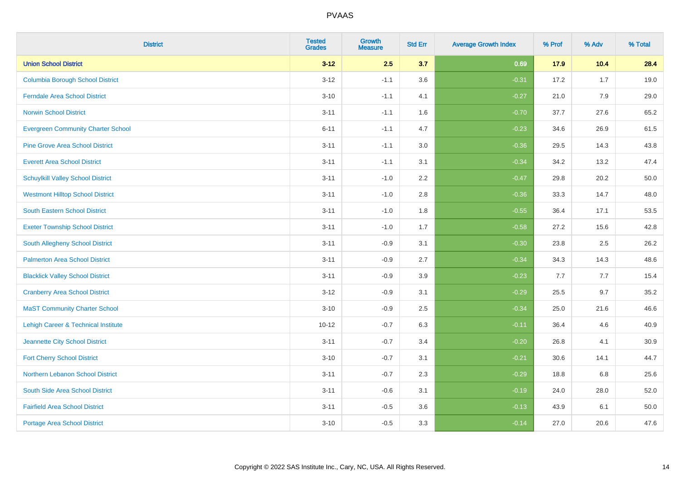| <b>District</b>                                | <b>Tested</b><br><b>Grades</b> | Growth<br><b>Measure</b> | <b>Std Err</b> | <b>Average Growth Index</b> | % Prof | % Adv | % Total |
|------------------------------------------------|--------------------------------|--------------------------|----------------|-----------------------------|--------|-------|---------|
| <b>Union School District</b>                   | $3 - 12$                       | 2.5                      | 3.7            | 0.69                        | 17.9   | 10.4  | 28.4    |
| <b>Columbia Borough School District</b>        | $3 - 12$                       | $-1.1$                   | 3.6            | $-0.31$                     | 17.2   | 1.7   | 19.0    |
| <b>Ferndale Area School District</b>           | $3 - 10$                       | $-1.1$                   | 4.1            | $-0.27$                     | 21.0   | 7.9   | 29.0    |
| <b>Norwin School District</b>                  | $3 - 11$                       | $-1.1$                   | 1.6            | $-0.70$                     | 37.7   | 27.6  | 65.2    |
| <b>Evergreen Community Charter School</b>      | $6 - 11$                       | $-1.1$                   | 4.7            | $-0.23$                     | 34.6   | 26.9  | 61.5    |
| <b>Pine Grove Area School District</b>         | $3 - 11$                       | $-1.1$                   | 3.0            | $-0.36$                     | 29.5   | 14.3  | 43.8    |
| <b>Everett Area School District</b>            | $3 - 11$                       | $-1.1$                   | 3.1            | $-0.34$                     | 34.2   | 13.2  | 47.4    |
| <b>Schuylkill Valley School District</b>       | $3 - 11$                       | $-1.0$                   | 2.2            | $-0.47$                     | 29.8   | 20.2  | 50.0    |
| <b>Westmont Hilltop School District</b>        | $3 - 11$                       | $-1.0$                   | 2.8            | $-0.36$                     | 33.3   | 14.7  | 48.0    |
| <b>South Eastern School District</b>           | $3 - 11$                       | $-1.0$                   | 1.8            | $-0.55$                     | 36.4   | 17.1  | 53.5    |
| <b>Exeter Township School District</b>         | $3 - 11$                       | $-1.0$                   | 1.7            | $-0.58$                     | 27.2   | 15.6  | 42.8    |
| South Allegheny School District                | $3 - 11$                       | $-0.9$                   | 3.1            | $-0.30$                     | 23.8   | 2.5   | 26.2    |
| <b>Palmerton Area School District</b>          | $3 - 11$                       | $-0.9$                   | 2.7            | $-0.34$                     | 34.3   | 14.3  | 48.6    |
| <b>Blacklick Valley School District</b>        | $3 - 11$                       | $-0.9$                   | 3.9            | $-0.23$                     | 7.7    | 7.7   | 15.4    |
| <b>Cranberry Area School District</b>          | $3 - 12$                       | $-0.9$                   | 3.1            | $-0.29$                     | 25.5   | 9.7   | 35.2    |
| <b>MaST Community Charter School</b>           | $3 - 10$                       | $-0.9$                   | 2.5            | $-0.34$                     | 25.0   | 21.6  | 46.6    |
| <b>Lehigh Career &amp; Technical Institute</b> | $10 - 12$                      | $-0.7$                   | 6.3            | $-0.11$                     | 36.4   | 4.6   | 40.9    |
| Jeannette City School District                 | $3 - 11$                       | $-0.7$                   | 3.4            | $-0.20$                     | 26.8   | 4.1   | 30.9    |
| <b>Fort Cherry School District</b>             | $3 - 10$                       | $-0.7$                   | 3.1            | $-0.21$                     | 30.6   | 14.1  | 44.7    |
| Northern Lebanon School District               | $3 - 11$                       | $-0.7$                   | 2.3            | $-0.29$                     | 18.8   | 6.8   | 25.6    |
| South Side Area School District                | $3 - 11$                       | $-0.6$                   | 3.1            | $-0.19$                     | 24.0   | 28.0  | 52.0    |
| <b>Fairfield Area School District</b>          | $3 - 11$                       | $-0.5$                   | 3.6            | $-0.13$                     | 43.9   | 6.1   | 50.0    |
| <b>Portage Area School District</b>            | $3 - 10$                       | $-0.5$                   | 3.3            | $-0.14$                     | 27.0   | 20.6  | 47.6    |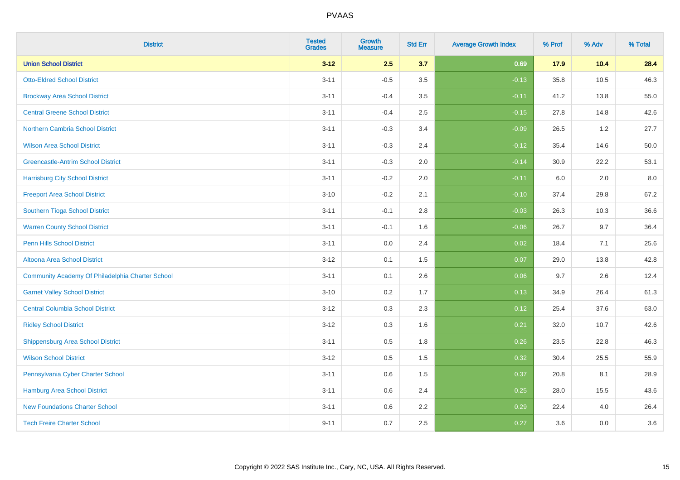| <b>District</b>                                  | <b>Tested</b><br><b>Grades</b> | <b>Growth</b><br><b>Measure</b> | <b>Std Err</b> | <b>Average Growth Index</b> | % Prof | % Adv | % Total |
|--------------------------------------------------|--------------------------------|---------------------------------|----------------|-----------------------------|--------|-------|---------|
| <b>Union School District</b>                     | $3 - 12$                       | 2.5                             | 3.7            | 0.69                        | 17.9   | 10.4  | 28.4    |
| <b>Otto-Eldred School District</b>               | $3 - 11$                       | $-0.5$                          | 3.5            | $-0.13$                     | 35.8   | 10.5  | 46.3    |
| <b>Brockway Area School District</b>             | $3 - 11$                       | $-0.4$                          | 3.5            | $-0.11$                     | 41.2   | 13.8  | 55.0    |
| <b>Central Greene School District</b>            | $3 - 11$                       | $-0.4$                          | 2.5            | $-0.15$                     | 27.8   | 14.8  | 42.6    |
| <b>Northern Cambria School District</b>          | $3 - 11$                       | $-0.3$                          | 3.4            | $-0.09$                     | 26.5   | 1.2   | 27.7    |
| <b>Wilson Area School District</b>               | $3 - 11$                       | $-0.3$                          | 2.4            | $-0.12$                     | 35.4   | 14.6  | 50.0    |
| <b>Greencastle-Antrim School District</b>        | $3 - 11$                       | $-0.3$                          | 2.0            | $-0.14$                     | 30.9   | 22.2  | 53.1    |
| <b>Harrisburg City School District</b>           | $3 - 11$                       | $-0.2$                          | 2.0            | $-0.11$                     | 6.0    | 2.0   | 8.0     |
| <b>Freeport Area School District</b>             | $3 - 10$                       | $-0.2$                          | 2.1            | $-0.10$                     | 37.4   | 29.8  | 67.2    |
| <b>Southern Tioga School District</b>            | $3 - 11$                       | $-0.1$                          | 2.8            | $-0.03$                     | 26.3   | 10.3  | 36.6    |
| <b>Warren County School District</b>             | $3 - 11$                       | $-0.1$                          | 1.6            | $-0.06$                     | 26.7   | 9.7   | 36.4    |
| <b>Penn Hills School District</b>                | $3 - 11$                       | 0.0                             | 2.4            | 0.02                        | 18.4   | 7.1   | 25.6    |
| Altoona Area School District                     | $3 - 12$                       | 0.1                             | 1.5            | 0.07                        | 29.0   | 13.8  | 42.8    |
| Community Academy Of Philadelphia Charter School | $3 - 11$                       | 0.1                             | 2.6            | 0.06                        | 9.7    | 2.6   | 12.4    |
| <b>Garnet Valley School District</b>             | $3 - 10$                       | 0.2                             | 1.7            | 0.13                        | 34.9   | 26.4  | 61.3    |
| <b>Central Columbia School District</b>          | $3 - 12$                       | 0.3                             | 2.3            | 0.12                        | 25.4   | 37.6  | 63.0    |
| <b>Ridley School District</b>                    | $3-12$                         | 0.3                             | 1.6            | 0.21                        | 32.0   | 10.7  | 42.6    |
| <b>Shippensburg Area School District</b>         | $3 - 11$                       | 0.5                             | 1.8            | 0.26                        | 23.5   | 22.8  | 46.3    |
| <b>Wilson School District</b>                    | $3 - 12$                       | 0.5                             | 1.5            | 0.32                        | 30.4   | 25.5  | 55.9    |
| Pennsylvania Cyber Charter School                | $3 - 11$                       | 0.6                             | 1.5            | 0.37                        | 20.8   | 8.1   | 28.9    |
| <b>Hamburg Area School District</b>              | $3 - 11$                       | 0.6                             | 2.4            | 0.25                        | 28.0   | 15.5  | 43.6    |
| <b>New Foundations Charter School</b>            | $3 - 11$                       | 0.6                             | 2.2            | 0.29                        | 22.4   | 4.0   | 26.4    |
| <b>Tech Freire Charter School</b>                | $9 - 11$                       | 0.7                             | 2.5            | 0.27                        | 3.6    | 0.0   | 3.6     |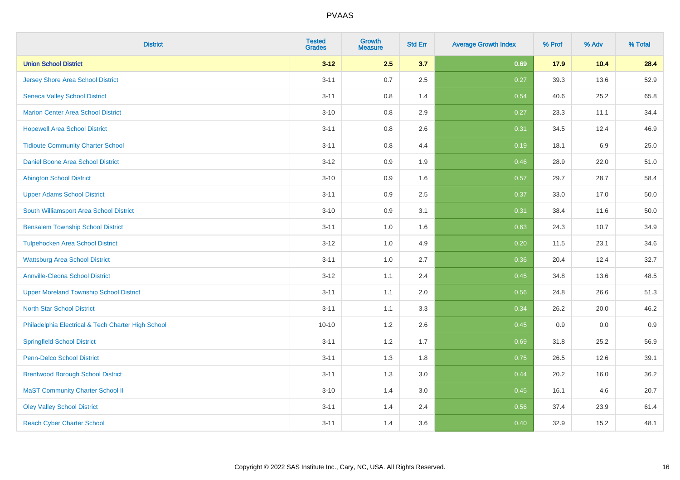| <b>District</b>                                    | <b>Tested</b><br><b>Grades</b> | Growth<br><b>Measure</b> | <b>Std Err</b> | <b>Average Growth Index</b> | % Prof | % Adv   | % Total  |
|----------------------------------------------------|--------------------------------|--------------------------|----------------|-----------------------------|--------|---------|----------|
| <b>Union School District</b>                       | $3 - 12$                       | 2.5                      | 3.7            | 0.69                        | 17.9   | 10.4    | 28.4     |
| <b>Jersey Shore Area School District</b>           | $3 - 11$                       | 0.7                      | 2.5            | 0.27                        | 39.3   | 13.6    | 52.9     |
| <b>Seneca Valley School District</b>               | $3 - 11$                       | 0.8                      | 1.4            | 0.54                        | 40.6   | 25.2    | 65.8     |
| <b>Marion Center Area School District</b>          | $3 - 10$                       | 0.8                      | 2.9            | 0.27                        | 23.3   | 11.1    | 34.4     |
| <b>Hopewell Area School District</b>               | $3 - 11$                       | 0.8                      | 2.6            | 0.31                        | 34.5   | 12.4    | 46.9     |
| <b>Tidioute Community Charter School</b>           | $3 - 11$                       | 0.8                      | 4.4            | 0.19                        | 18.1   | $6.9\,$ | 25.0     |
| Daniel Boone Area School District                  | $3 - 12$                       | 0.9                      | 1.9            | 0.46                        | 28.9   | 22.0    | 51.0     |
| <b>Abington School District</b>                    | $3 - 10$                       | 0.9                      | 1.6            | 0.57                        | 29.7   | 28.7    | 58.4     |
| <b>Upper Adams School District</b>                 | $3 - 11$                       | 0.9                      | 2.5            | 0.37                        | 33.0   | 17.0    | 50.0     |
| South Williamsport Area School District            | $3 - 10$                       | 0.9                      | 3.1            | 0.31                        | 38.4   | 11.6    | $50.0\,$ |
| <b>Bensalem Township School District</b>           | $3 - 11$                       | 1.0                      | 1.6            | 0.63                        | 24.3   | 10.7    | 34.9     |
| <b>Tulpehocken Area School District</b>            | $3 - 12$                       | 1.0                      | 4.9            | 0.20                        | 11.5   | 23.1    | 34.6     |
| <b>Wattsburg Area School District</b>              | $3 - 11$                       | 1.0                      | 2.7            | 0.36                        | 20.4   | 12.4    | 32.7     |
| <b>Annville-Cleona School District</b>             | $3 - 12$                       | 1.1                      | 2.4            | 0.45                        | 34.8   | 13.6    | 48.5     |
| <b>Upper Moreland Township School District</b>     | $3 - 11$                       | 1.1                      | 2.0            | 0.56                        | 24.8   | 26.6    | 51.3     |
| <b>North Star School District</b>                  | $3 - 11$                       | 1.1                      | 3.3            | 0.34                        | 26.2   | 20.0    | 46.2     |
| Philadelphia Electrical & Tech Charter High School | $10 - 10$                      | 1.2                      | 2.6            | 0.45                        | 0.9    | 0.0     | 0.9      |
| <b>Springfield School District</b>                 | $3 - 11$                       | 1.2                      | 1.7            | 0.69                        | 31.8   | 25.2    | 56.9     |
| <b>Penn-Delco School District</b>                  | $3 - 11$                       | 1.3                      | 1.8            | 0.75                        | 26.5   | 12.6    | 39.1     |
| <b>Brentwood Borough School District</b>           | $3 - 11$                       | 1.3                      | 3.0            | 0.44                        | 20.2   | 16.0    | 36.2     |
| <b>MaST Community Charter School II</b>            | $3 - 10$                       | 1.4                      | 3.0            | 0.45                        | 16.1   | 4.6     | 20.7     |
| <b>Oley Valley School District</b>                 | $3 - 11$                       | 1.4                      | 2.4            | 0.56                        | 37.4   | 23.9    | 61.4     |
| <b>Reach Cyber Charter School</b>                  | $3 - 11$                       | 1.4                      | 3.6            | 0.40                        | 32.9   | 15.2    | 48.1     |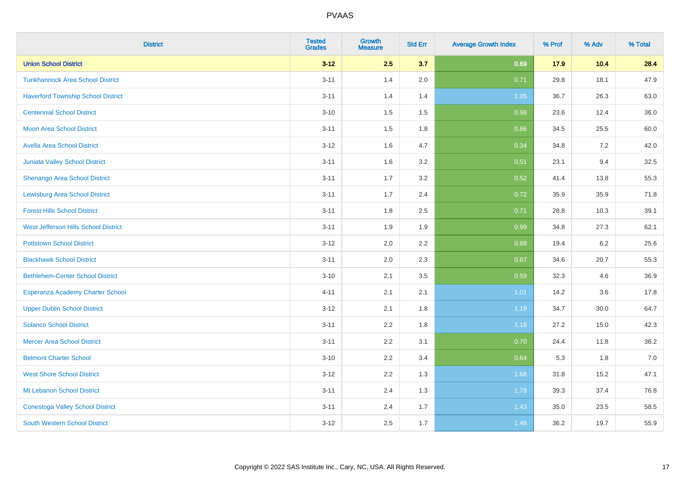| <b>District</b>                           | <b>Tested</b><br><b>Grades</b> | Growth<br><b>Measure</b> | <b>Std Err</b> | <b>Average Growth Index</b> | % Prof | % Adv | % Total |
|-------------------------------------------|--------------------------------|--------------------------|----------------|-----------------------------|--------|-------|---------|
| <b>Union School District</b>              | $3 - 12$                       | 2.5                      | 3.7            | 0.69                        | 17.9   | 10.4  | 28.4    |
| <b>Tunkhannock Area School District</b>   | $3 - 11$                       | 1.4                      | 2.0            | 0.71                        | 29.8   | 18.1  | 47.9    |
| <b>Haverford Township School District</b> | $3 - 11$                       | 1.4                      | 1.4            | 1.05                        | 36.7   | 26.3  | 63.0    |
| <b>Centennial School District</b>         | $3 - 10$                       | 1.5                      | 1.5            | 0.98                        | 23.6   | 12.4  | 36.0    |
| <b>Moon Area School District</b>          | $3 - 11$                       | 1.5                      | 1.8            | 0.86                        | 34.5   | 25.5  | 60.0    |
| <b>Avella Area School District</b>        | $3 - 12$                       | 1.6                      | 4.7            | 0.34                        | 34.8   | 7.2   | 42.0    |
| Juniata Valley School District            | $3 - 11$                       | 1.6                      | 3.2            | 0.51                        | 23.1   | 9.4   | 32.5    |
| Shenango Area School District             | $3 - 11$                       | 1.7                      | 3.2            | 0.52                        | 41.4   | 13.8  | 55.3    |
| <b>Lewisburg Area School District</b>     | $3 - 11$                       | 1.7                      | 2.4            | 0.72                        | 35.9   | 35.9  | 71.8    |
| <b>Forest Hills School District</b>       | $3 - 11$                       | 1.8                      | $2.5\,$        | 0.71                        | 28.8   | 10.3  | 39.1    |
| West Jefferson Hills School District      | $3 - 11$                       | 1.9                      | 1.9            | 0.99                        | 34.8   | 27.3  | 62.1    |
| <b>Pottstown School District</b>          | $3 - 12$                       | 2.0                      | 2.2            | 0.88                        | 19.4   | 6.2   | 25.6    |
| <b>Blackhawk School District</b>          | $3 - 11$                       | 2.0                      | 2.3            | 0.87                        | 34.6   | 20.7  | 55.3    |
| <b>Bethlehem-Center School District</b>   | $3 - 10$                       | 2.1                      | 3.5            | 0.59                        | 32.3   | 4.6   | 36.9    |
| Esperanza Academy Charter School          | $4 - 11$                       | 2.1                      | 2.1            | 1.01                        | 14.2   | 3.6   | 17.8    |
| <b>Upper Dublin School District</b>       | $3 - 12$                       | 2.1                      | 1.8            | 1.19                        | 34.7   | 30.0  | 64.7    |
| <b>Solanco School District</b>            | $3 - 11$                       | 2.2                      | 1.8            | 1.18                        | 27.2   | 15.0  | 42.3    |
| <b>Mercer Area School District</b>        | $3 - 11$                       | 2.2                      | 3.1            | 0.70                        | 24.4   | 11.8  | 36.2    |
| <b>Belmont Charter School</b>             | $3 - 10$                       | 2.2                      | 3.4            | 0.64                        | 5.3    | 1.8   | 7.0     |
| <b>West Shore School District</b>         | $3 - 12$                       | 2.2                      | 1.3            | 1.68                        | 31.8   | 15.2  | 47.1    |
| Mt Lebanon School District                | $3 - 11$                       | 2.4                      | 1.3            | 1.79                        | 39.3   | 37.4  | 76.8    |
| <b>Conestoga Valley School District</b>   | $3 - 11$                       | 2.4                      | 1.7            | 1.43                        | 35.0   | 23.5  | 58.5    |
| <b>South Western School District</b>      | $3 - 12$                       | 2.5                      | 1.7            | 1.48                        | 36.2   | 19.7  | 55.9    |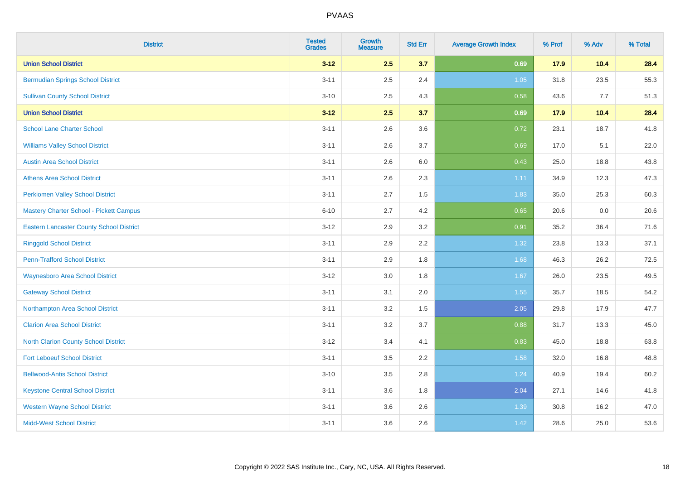| <b>District</b>                                 | <b>Tested</b><br><b>Grades</b> | <b>Growth</b><br><b>Measure</b> | <b>Std Err</b> | <b>Average Growth Index</b> | % Prof | % Adv | % Total |
|-------------------------------------------------|--------------------------------|---------------------------------|----------------|-----------------------------|--------|-------|---------|
| <b>Union School District</b>                    | $3 - 12$                       | 2.5                             | 3.7            | 0.69                        | 17.9   | 10.4  | 28.4    |
| <b>Bermudian Springs School District</b>        | $3 - 11$                       | 2.5                             | 2.4            | 1.05                        | 31.8   | 23.5  | 55.3    |
| <b>Sullivan County School District</b>          | $3 - 10$                       | 2.5                             | 4.3            | 0.58                        | 43.6   | 7.7   | 51.3    |
| <b>Union School District</b>                    | $3 - 12$                       | 2.5                             | 3.7            | 0.69                        | 17.9   | 10.4  | 28.4    |
| <b>School Lane Charter School</b>               | $3 - 11$                       | 2.6                             | 3.6            | 0.72                        | 23.1   | 18.7  | 41.8    |
| <b>Williams Valley School District</b>          | $3 - 11$                       | 2.6                             | 3.7            | 0.69                        | 17.0   | 5.1   | 22.0    |
| <b>Austin Area School District</b>              | $3 - 11$                       | 2.6                             | 6.0            | 0.43                        | 25.0   | 18.8  | 43.8    |
| <b>Athens Area School District</b>              | $3 - 11$                       | 2.6                             | 2.3            | 1.11                        | 34.9   | 12.3  | 47.3    |
| <b>Perkiomen Valley School District</b>         | $3 - 11$                       | 2.7                             | 1.5            | 1.83                        | 35.0   | 25.3  | 60.3    |
| Mastery Charter School - Pickett Campus         | $6 - 10$                       | 2.7                             | 4.2            | 0.65                        | 20.6   | 0.0   | 20.6    |
| <b>Eastern Lancaster County School District</b> | $3 - 12$                       | 2.9                             | 3.2            | 0.91                        | 35.2   | 36.4  | 71.6    |
| <b>Ringgold School District</b>                 | $3 - 11$                       | 2.9                             | 2.2            | 1.32                        | 23.8   | 13.3  | 37.1    |
| <b>Penn-Trafford School District</b>            | $3 - 11$                       | 2.9                             | 1.8            | 1.68                        | 46.3   | 26.2  | 72.5    |
| <b>Waynesboro Area School District</b>          | $3 - 12$                       | 3.0                             | 1.8            | 1.67                        | 26.0   | 23.5  | 49.5    |
| <b>Gateway School District</b>                  | $3 - 11$                       | 3.1                             | 2.0            | 1.55                        | 35.7   | 18.5  | 54.2    |
| Northampton Area School District                | $3 - 11$                       | 3.2                             | 1.5            | 2.05                        | 29.8   | 17.9  | 47.7    |
| <b>Clarion Area School District</b>             | $3 - 11$                       | 3.2                             | 3.7            | 0.88                        | 31.7   | 13.3  | 45.0    |
| North Clarion County School District            | $3 - 12$                       | 3.4                             | 4.1            | 0.83                        | 45.0   | 18.8  | 63.8    |
| <b>Fort Leboeuf School District</b>             | $3 - 11$                       | 3.5                             | 2.2            | 1.58                        | 32.0   | 16.8  | 48.8    |
| <b>Bellwood-Antis School District</b>           | $3 - 10$                       | 3.5                             | 2.8            | 1.24                        | 40.9   | 19.4  | 60.2    |
| <b>Keystone Central School District</b>         | $3 - 11$                       | 3.6                             | 1.8            | 2.04                        | 27.1   | 14.6  | 41.8    |
| <b>Western Wayne School District</b>            | $3 - 11$                       | 3.6                             | 2.6            | 1.39                        | 30.8   | 16.2  | 47.0    |
| <b>Midd-West School District</b>                | $3 - 11$                       | 3.6                             | 2.6            | 1.42                        | 28.6   | 25.0  | 53.6    |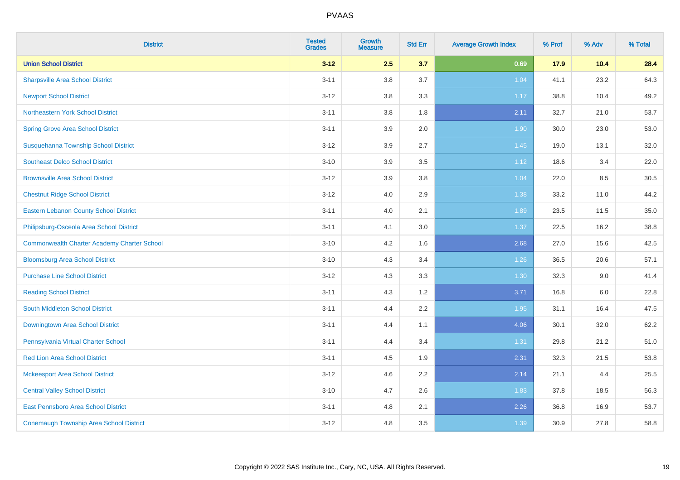| <b>District</b>                                    | <b>Tested</b><br><b>Grades</b> | <b>Growth</b><br><b>Measure</b> | <b>Std Err</b> | <b>Average Growth Index</b> | % Prof | % Adv | % Total |
|----------------------------------------------------|--------------------------------|---------------------------------|----------------|-----------------------------|--------|-------|---------|
| <b>Union School District</b>                       | $3 - 12$                       | 2.5                             | 3.7            | 0.69                        | 17.9   | 10.4  | 28.4    |
| <b>Sharpsville Area School District</b>            | $3 - 11$                       | 3.8                             | 3.7            | 1.04                        | 41.1   | 23.2  | 64.3    |
| <b>Newport School District</b>                     | $3 - 12$                       | 3.8                             | 3.3            | 1.17                        | 38.8   | 10.4  | 49.2    |
| Northeastern York School District                  | $3 - 11$                       | 3.8                             | 1.8            | 2.11                        | 32.7   | 21.0  | 53.7    |
| <b>Spring Grove Area School District</b>           | $3 - 11$                       | 3.9                             | 2.0            | 1.90                        | 30.0   | 23.0  | 53.0    |
| Susquehanna Township School District               | $3 - 12$                       | 3.9                             | 2.7            | 1.45                        | 19.0   | 13.1  | 32.0    |
| <b>Southeast Delco School District</b>             | $3 - 10$                       | 3.9                             | 3.5            | 1.12                        | 18.6   | 3.4   | 22.0    |
| <b>Brownsville Area School District</b>            | $3 - 12$                       | 3.9                             | 3.8            | 1.04                        | 22.0   | 8.5   | 30.5    |
| <b>Chestnut Ridge School District</b>              | $3 - 12$                       | 4.0                             | 2.9            | 1.38                        | 33.2   | 11.0  | 44.2    |
| <b>Eastern Lebanon County School District</b>      | $3 - 11$                       | 4.0                             | 2.1            | 1.89                        | 23.5   | 11.5  | 35.0    |
| Philipsburg-Osceola Area School District           | $3 - 11$                       | 4.1                             | 3.0            | 1.37                        | 22.5   | 16.2  | 38.8    |
| <b>Commonwealth Charter Academy Charter School</b> | $3 - 10$                       | 4.2                             | 1.6            | 2.68                        | 27.0   | 15.6  | 42.5    |
| <b>Bloomsburg Area School District</b>             | $3 - 10$                       | 4.3                             | 3.4            | 1.26                        | 36.5   | 20.6  | 57.1    |
| <b>Purchase Line School District</b>               | $3 - 12$                       | 4.3                             | 3.3            | 1.30                        | 32.3   | 9.0   | 41.4    |
| <b>Reading School District</b>                     | $3 - 11$                       | 4.3                             | 1.2            | 3.71                        | 16.8   | 6.0   | 22.8    |
| South Middleton School District                    | $3 - 11$                       | 4.4                             | 2.2            | 1.95                        | 31.1   | 16.4  | 47.5    |
| <b>Downingtown Area School District</b>            | $3 - 11$                       | 4.4                             | 1.1            | 4.06                        | 30.1   | 32.0  | 62.2    |
| Pennsylvania Virtual Charter School                | $3 - 11$                       | 4.4                             | 3.4            | 1.31                        | 29.8   | 21.2  | 51.0    |
| <b>Red Lion Area School District</b>               | $3 - 11$                       | 4.5                             | 1.9            | 2.31                        | 32.3   | 21.5  | 53.8    |
| <b>Mckeesport Area School District</b>             | $3 - 12$                       | 4.6                             | 2.2            | 2.14                        | 21.1   | 4.4   | 25.5    |
| <b>Central Valley School District</b>              | $3 - 10$                       | 4.7                             | 2.6            | 1.83                        | 37.8   | 18.5  | 56.3    |
| <b>East Pennsboro Area School District</b>         | $3 - 11$                       | 4.8                             | 2.1            | 2.26                        | 36.8   | 16.9  | 53.7    |
| <b>Conemaugh Township Area School District</b>     | $3 - 12$                       | 4.8                             | 3.5            | 1.39                        | 30.9   | 27.8  | 58.8    |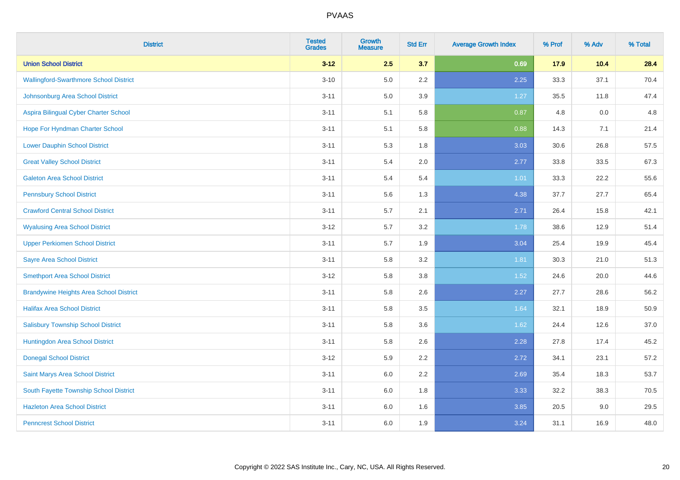| <b>District</b>                                | <b>Tested</b><br><b>Grades</b> | <b>Growth</b><br><b>Measure</b> | <b>Std Err</b> | <b>Average Growth Index</b> | % Prof | % Adv | % Total |
|------------------------------------------------|--------------------------------|---------------------------------|----------------|-----------------------------|--------|-------|---------|
| <b>Union School District</b>                   | $3 - 12$                       | 2.5                             | 3.7            | 0.69                        | 17.9   | 10.4  | 28.4    |
| <b>Wallingford-Swarthmore School District</b>  | $3 - 10$                       | 5.0                             | 2.2            | 2.25                        | 33.3   | 37.1  | 70.4    |
| Johnsonburg Area School District               | $3 - 11$                       | 5.0                             | 3.9            | 1.27                        | 35.5   | 11.8  | 47.4    |
| Aspira Bilingual Cyber Charter School          | $3 - 11$                       | 5.1                             | 5.8            | 0.87                        | 4.8    | 0.0   | 4.8     |
| Hope For Hyndman Charter School                | $3 - 11$                       | 5.1                             | 5.8            | 0.88                        | 14.3   | 7.1   | 21.4    |
| <b>Lower Dauphin School District</b>           | $3 - 11$                       | 5.3                             | 1.8            | 3.03                        | 30.6   | 26.8  | 57.5    |
| <b>Great Valley School District</b>            | $3 - 11$                       | 5.4                             | 2.0            | 2.77                        | 33.8   | 33.5  | 67.3    |
| <b>Galeton Area School District</b>            | $3 - 11$                       | 5.4                             | 5.4            | 1.01                        | 33.3   | 22.2  | 55.6    |
| <b>Pennsbury School District</b>               | $3 - 11$                       | 5.6                             | 1.3            | 4.38                        | 37.7   | 27.7  | 65.4    |
| <b>Crawford Central School District</b>        | $3 - 11$                       | 5.7                             | 2.1            | 2.71                        | 26.4   | 15.8  | 42.1    |
| <b>Wyalusing Area School District</b>          | $3 - 12$                       | 5.7                             | 3.2            | 1.78                        | 38.6   | 12.9  | 51.4    |
| <b>Upper Perkiomen School District</b>         | $3 - 11$                       | 5.7                             | 1.9            | 3.04                        | 25.4   | 19.9  | 45.4    |
| <b>Sayre Area School District</b>              | $3 - 11$                       | 5.8                             | 3.2            | 1.81                        | 30.3   | 21.0  | 51.3    |
| <b>Smethport Area School District</b>          | $3 - 12$                       | 5.8                             | 3.8            | 1.52                        | 24.6   | 20.0  | 44.6    |
| <b>Brandywine Heights Area School District</b> | $3 - 11$                       | 5.8                             | 2.6            | 2.27                        | 27.7   | 28.6  | 56.2    |
| <b>Halifax Area School District</b>            | $3 - 11$                       | 5.8                             | 3.5            | 1.64                        | 32.1   | 18.9  | 50.9    |
| <b>Salisbury Township School District</b>      | $3 - 11$                       | 5.8                             | 3.6            | 1.62                        | 24.4   | 12.6  | 37.0    |
| Huntingdon Area School District                | $3 - 11$                       | 5.8                             | 2.6            | 2.28                        | 27.8   | 17.4  | 45.2    |
| <b>Donegal School District</b>                 | $3 - 12$                       | 5.9                             | 2.2            | 2.72                        | 34.1   | 23.1  | 57.2    |
| Saint Marys Area School District               | $3 - 11$                       | 6.0                             | 2.2            | 2.69                        | 35.4   | 18.3  | 53.7    |
| South Fayette Township School District         | $3 - 11$                       | 6.0                             | 1.8            | 3.33                        | 32.2   | 38.3  | 70.5    |
| <b>Hazleton Area School District</b>           | $3 - 11$                       | 6.0                             | 1.6            | 3.85                        | 20.5   | 9.0   | 29.5    |
| <b>Penncrest School District</b>               | $3 - 11$                       | 6.0                             | 1.9            | 3.24                        | 31.1   | 16.9  | 48.0    |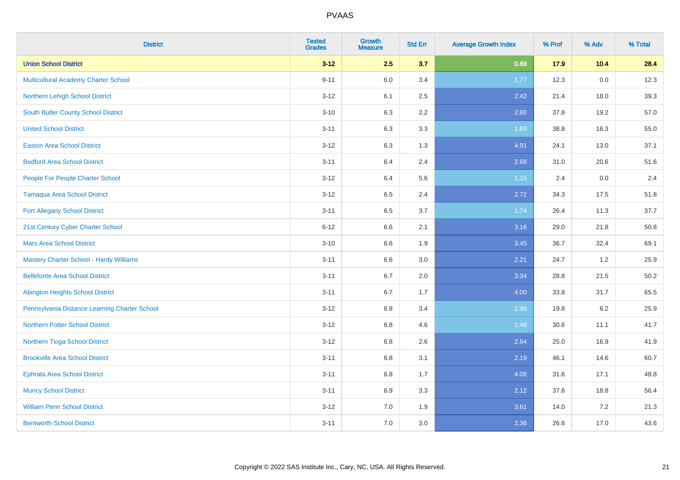| <b>District</b>                               | <b>Tested</b><br><b>Grades</b> | <b>Growth</b><br><b>Measure</b> | <b>Std Err</b> | <b>Average Growth Index</b> | % Prof | % Adv | % Total |
|-----------------------------------------------|--------------------------------|---------------------------------|----------------|-----------------------------|--------|-------|---------|
| <b>Union School District</b>                  | $3 - 12$                       | 2.5                             | 3.7            | 0.69                        | 17.9   | 10.4  | 28.4    |
| <b>Multicultural Academy Charter School</b>   | $9 - 11$                       | 6.0                             | 3.4            | 1.77                        | 12.3   | 0.0   | 12.3    |
| Northern Lehigh School District               | $3 - 12$                       | 6.1                             | 2.5            | 2.42                        | 21.4   | 18.0  | 39.3    |
| South Butler County School District           | $3 - 10$                       | 6.3                             | 2.2            | 2.80                        | 37.8   | 19.2  | 57.0    |
| <b>United School District</b>                 | $3 - 11$                       | 6.3                             | 3.3            | 1.89                        | 38.8   | 16.3  | 55.0    |
| <b>Easton Area School District</b>            | $3 - 12$                       | 6.3                             | 1.3            | 4.91                        | 24.1   | 13.0  | 37.1    |
| <b>Bedford Area School District</b>           | $3 - 11$                       | 6.4                             | 2.4            | 2.68                        | 31.0   | 20.6  | 51.6    |
| People For People Charter School              | $3 - 12$                       | 6.4                             | 5.6            | 1.15                        | 2.4    | 0.0   | 2.4     |
| <b>Tamaqua Area School District</b>           | $3 - 12$                       | 6.5                             | 2.4            | 2.72                        | 34.3   | 17.5  | 51.8    |
| <b>Port Allegany School District</b>          | $3 - 11$                       | 6.5                             | 3.7            | 1.74                        | 26.4   | 11.3  | 37.7    |
| 21st Century Cyber Charter School             | $6 - 12$                       | 6.6                             | 2.1            | 3.16                        | 29.0   | 21.8  | 50.8    |
| <b>Mars Area School District</b>              | $3 - 10$                       | 6.6                             | 1.9            | 3.45                        | 36.7   | 32.4  | 69.1    |
| Mastery Charter School - Hardy Williams       | $3 - 11$                       | 6.6                             | 3.0            | 2.21                        | 24.7   | 1.2   | 25.9    |
| <b>Bellefonte Area School District</b>        | $3 - 11$                       | 6.7                             | 2.0            | 3.34                        | 28.8   | 21.5  | 50.2    |
| <b>Abington Heights School District</b>       | $3 - 11$                       | 6.7                             | 1.7            | 4.00                        | 33.8   | 31.7  | 65.5    |
| Pennsylvania Distance Learning Charter School | $3 - 12$                       | 6.8                             | 3.4            | 1.99                        | 19.8   | 6.2   | 25.9    |
| <b>Northern Potter School District</b>        | $3 - 12$                       | 6.8                             | 4.6            | 1.48                        | 30.6   | 11.1  | 41.7    |
| Northern Tioga School District                | $3 - 12$                       | 6.8                             | 2.6            | 2.64                        | 25.0   | 16.9  | 41.9    |
| <b>Brookville Area School District</b>        | $3 - 11$                       | 6.8                             | 3.1            | 2.19                        | 46.1   | 14.6  | 60.7    |
| Ephrata Area School District                  | $3 - 11$                       | 6.8                             | 1.7            | 4.08                        | 31.6   | 17.1  | 48.8    |
| <b>Muncy School District</b>                  | $3 - 11$                       | 6.9                             | 3.3            | 2.12                        | 37.6   | 18.8  | 56.4    |
| <b>William Penn School District</b>           | $3 - 12$                       | 7.0                             | 1.9            | 3.61                        | 14.0   | 7.2   | 21.3    |
| <b>Bentworth School District</b>              | $3 - 11$                       | 7.0                             | 3.0            | 2.36                        | 26.6   | 17.0  | 43.6    |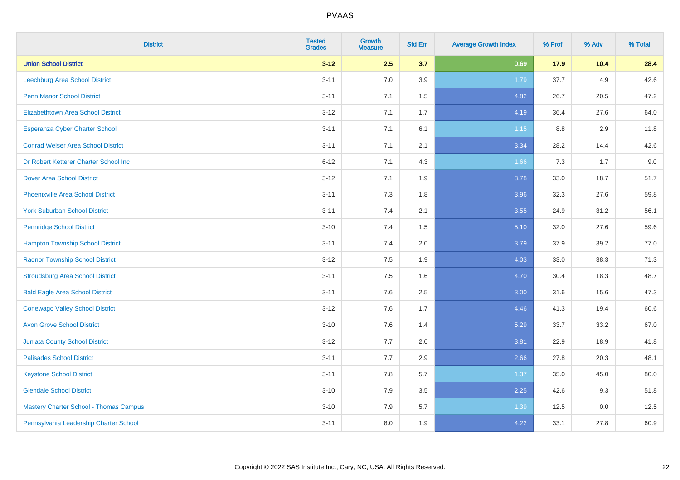| <b>District</b>                               | <b>Tested</b><br><b>Grades</b> | <b>Growth</b><br><b>Measure</b> | <b>Std Err</b> | <b>Average Growth Index</b> | % Prof | % Adv | % Total |
|-----------------------------------------------|--------------------------------|---------------------------------|----------------|-----------------------------|--------|-------|---------|
| <b>Union School District</b>                  | $3 - 12$                       | 2.5                             | 3.7            | 0.69                        | 17.9   | 10.4  | 28.4    |
| Leechburg Area School District                | $3 - 11$                       | 7.0                             | 3.9            | 1.79                        | 37.7   | 4.9   | 42.6    |
| <b>Penn Manor School District</b>             | $3 - 11$                       | 7.1                             | 1.5            | 4.82                        | 26.7   | 20.5  | 47.2    |
| <b>Elizabethtown Area School District</b>     | $3 - 12$                       | 7.1                             | 1.7            | 4.19                        | 36.4   | 27.6  | 64.0    |
| <b>Esperanza Cyber Charter School</b>         | $3 - 11$                       | 7.1                             | 6.1            | 1.15                        | 8.8    | 2.9   | 11.8    |
| <b>Conrad Weiser Area School District</b>     | $3 - 11$                       | 7.1                             | 2.1            | 3.34                        | 28.2   | 14.4  | 42.6    |
| Dr Robert Ketterer Charter School Inc         | $6 - 12$                       | 7.1                             | 4.3            | 1.66                        | 7.3    | 1.7   | 9.0     |
| <b>Dover Area School District</b>             | $3 - 12$                       | 7.1                             | 1.9            | 3.78                        | 33.0   | 18.7  | 51.7    |
| <b>Phoenixville Area School District</b>      | $3 - 11$                       | 7.3                             | 1.8            | 3.96                        | 32.3   | 27.6  | 59.8    |
| <b>York Suburban School District</b>          | $3 - 11$                       | 7.4                             | 2.1            | 3.55                        | 24.9   | 31.2  | 56.1    |
| <b>Pennridge School District</b>              | $3 - 10$                       | 7.4                             | 1.5            | 5.10                        | 32.0   | 27.6  | 59.6    |
| <b>Hampton Township School District</b>       | $3 - 11$                       | 7.4                             | 2.0            | 3.79                        | 37.9   | 39.2  | 77.0    |
| <b>Radnor Township School District</b>        | $3 - 12$                       | $7.5\,$                         | 1.9            | 4.03                        | 33.0   | 38.3  | 71.3    |
| <b>Stroudsburg Area School District</b>       | $3 - 11$                       | 7.5                             | 1.6            | 4.70                        | 30.4   | 18.3  | 48.7    |
| <b>Bald Eagle Area School District</b>        | $3 - 11$                       | 7.6                             | 2.5            | 3.00                        | 31.6   | 15.6  | 47.3    |
| <b>Conewago Valley School District</b>        | $3 - 12$                       | 7.6                             | 1.7            | 4.46                        | 41.3   | 19.4  | 60.6    |
| <b>Avon Grove School District</b>             | $3 - 10$                       | 7.6                             | 1.4            | 5.29                        | 33.7   | 33.2  | 67.0    |
| <b>Juniata County School District</b>         | $3 - 12$                       | 7.7                             | 2.0            | 3.81                        | 22.9   | 18.9  | 41.8    |
| <b>Palisades School District</b>              | $3 - 11$                       | 7.7                             | 2.9            | 2.66                        | 27.8   | 20.3  | 48.1    |
| <b>Keystone School District</b>               | $3 - 11$                       | 7.8                             | 5.7            | 1.37                        | 35.0   | 45.0  | 80.0    |
| <b>Glendale School District</b>               | $3 - 10$                       | 7.9                             | 3.5            | 2.25                        | 42.6   | 9.3   | 51.8    |
| <b>Mastery Charter School - Thomas Campus</b> | $3 - 10$                       | 7.9                             | 5.7            | 1.39                        | 12.5   | 0.0   | 12.5    |
| Pennsylvania Leadership Charter School        | $3 - 11$                       | 8.0                             | 1.9            | 4.22                        | 33.1   | 27.8  | 60.9    |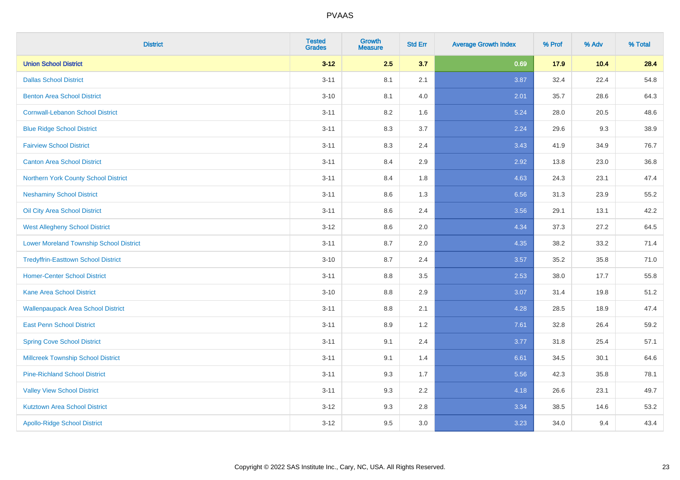| <b>District</b>                                | <b>Tested</b><br><b>Grades</b> | <b>Growth</b><br><b>Measure</b> | <b>Std Err</b> | <b>Average Growth Index</b> | % Prof | % Adv | % Total |
|------------------------------------------------|--------------------------------|---------------------------------|----------------|-----------------------------|--------|-------|---------|
| <b>Union School District</b>                   | $3 - 12$                       | 2.5                             | 3.7            | 0.69                        | 17.9   | 10.4  | 28.4    |
| <b>Dallas School District</b>                  | $3 - 11$                       | 8.1                             | 2.1            | 3.87                        | 32.4   | 22.4  | 54.8    |
| <b>Benton Area School District</b>             | $3 - 10$                       | 8.1                             | 4.0            | 2.01                        | 35.7   | 28.6  | 64.3    |
| <b>Cornwall-Lebanon School District</b>        | $3 - 11$                       | 8.2                             | 1.6            | 5.24                        | 28.0   | 20.5  | 48.6    |
| <b>Blue Ridge School District</b>              | $3 - 11$                       | 8.3                             | 3.7            | 2.24                        | 29.6   | 9.3   | 38.9    |
| <b>Fairview School District</b>                | $3 - 11$                       | 8.3                             | 2.4            | 3.43                        | 41.9   | 34.9  | 76.7    |
| <b>Canton Area School District</b>             | $3 - 11$                       | 8.4                             | 2.9            | 2.92                        | 13.8   | 23.0  | 36.8    |
| Northern York County School District           | $3 - 11$                       | 8.4                             | 1.8            | 4.63                        | 24.3   | 23.1  | 47.4    |
| <b>Neshaminy School District</b>               | $3 - 11$                       | 8.6                             | 1.3            | 6.56                        | 31.3   | 23.9  | 55.2    |
| Oil City Area School District                  | $3 - 11$                       | 8.6                             | 2.4            | 3.56                        | 29.1   | 13.1  | 42.2    |
| <b>West Allegheny School District</b>          | $3 - 12$                       | 8.6                             | 2.0            | 4.34                        | 37.3   | 27.2  | 64.5    |
| <b>Lower Moreland Township School District</b> | $3 - 11$                       | 8.7                             | 2.0            | 4.35                        | 38.2   | 33.2  | 71.4    |
| <b>Tredyffrin-Easttown School District</b>     | $3 - 10$                       | 8.7                             | 2.4            | 3.57                        | 35.2   | 35.8  | 71.0    |
| <b>Homer-Center School District</b>            | $3 - 11$                       | 8.8                             | 3.5            | 2.53                        | 38.0   | 17.7  | 55.8    |
| <b>Kane Area School District</b>               | $3 - 10$                       | 8.8                             | 2.9            | 3.07                        | 31.4   | 19.8  | 51.2    |
| <b>Wallenpaupack Area School District</b>      | $3 - 11$                       | $8.8\,$                         | 2.1            | 4.28                        | 28.5   | 18.9  | 47.4    |
| <b>East Penn School District</b>               | $3 - 11$                       | 8.9                             | 1.2            | 7.61                        | 32.8   | 26.4  | 59.2    |
| <b>Spring Cove School District</b>             | $3 - 11$                       | 9.1                             | 2.4            | 3.77                        | 31.8   | 25.4  | 57.1    |
| <b>Millcreek Township School District</b>      | $3 - 11$                       | 9.1                             | 1.4            | 6.61                        | 34.5   | 30.1  | 64.6    |
| <b>Pine-Richland School District</b>           | $3 - 11$                       | 9.3                             | 1.7            | 5.56                        | 42.3   | 35.8  | 78.1    |
| <b>Valley View School District</b>             | $3 - 11$                       | 9.3                             | 2.2            | 4.18                        | 26.6   | 23.1  | 49.7    |
| <b>Kutztown Area School District</b>           | $3 - 12$                       | 9.3                             | 2.8            | 3.34                        | 38.5   | 14.6  | 53.2    |
| <b>Apollo-Ridge School District</b>            | $3 - 12$                       | 9.5                             | 3.0            | 3.23                        | 34.0   | 9.4   | 43.4    |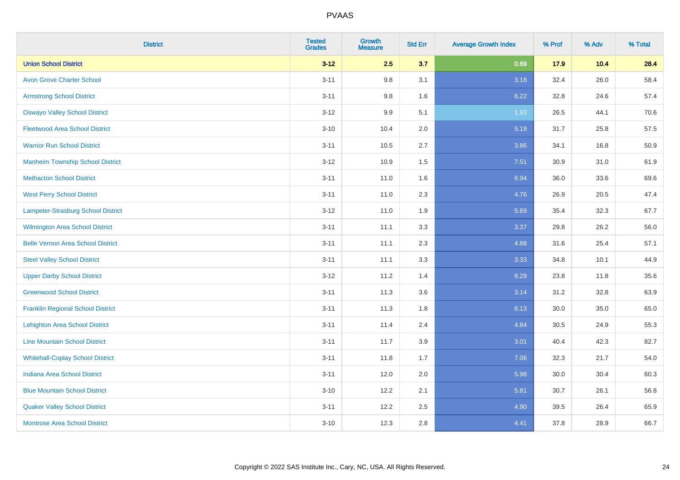| <b>District</b>                          | <b>Tested</b><br><b>Grades</b> | <b>Growth</b><br><b>Measure</b> | <b>Std Err</b> | <b>Average Growth Index</b> | % Prof | % Adv | % Total |
|------------------------------------------|--------------------------------|---------------------------------|----------------|-----------------------------|--------|-------|---------|
| <b>Union School District</b>             | $3 - 12$                       | 2.5                             | 3.7            | 0.69                        | 17.9   | 10.4  | 28.4    |
| <b>Avon Grove Charter School</b>         | $3 - 11$                       | 9.8                             | 3.1            | 3.18                        | 32.4   | 26.0  | 58.4    |
| <b>Armstrong School District</b>         | $3 - 11$                       | 9.8                             | 1.6            | 6.22                        | 32.8   | 24.6  | 57.4    |
| <b>Oswayo Valley School District</b>     | $3 - 12$                       | 9.9                             | 5.1            | 1.93                        | 26.5   | 44.1  | 70.6    |
| <b>Fleetwood Area School District</b>    | $3 - 10$                       | 10.4                            | 2.0            | 5.19                        | 31.7   | 25.8  | 57.5    |
| <b>Warrior Run School District</b>       | $3 - 11$                       | 10.5                            | 2.7            | 3.86                        | 34.1   | 16.8  | 50.9    |
| <b>Manheim Township School District</b>  | $3 - 12$                       | 10.9                            | 1.5            | 7.51                        | 30.9   | 31.0  | 61.9    |
| <b>Methacton School District</b>         | $3 - 11$                       | 11.0                            | 1.6            | 6.94                        | 36.0   | 33.6  | 69.6    |
| <b>West Perry School District</b>        | $3 - 11$                       | 11.0                            | 2.3            | 4.76                        | 26.9   | 20.5  | 47.4    |
| Lampeter-Strasburg School District       | $3 - 12$                       | 11.0                            | 1.9            | 5.69                        | 35.4   | 32.3  | 67.7    |
| Wilmington Area School District          | $3 - 11$                       | 11.1                            | 3.3            | 3.37                        | 29.8   | 26.2  | 56.0    |
| <b>Belle Vernon Area School District</b> | $3 - 11$                       | 11.1                            | 2.3            | 4.88                        | 31.6   | 25.4  | 57.1    |
| <b>Steel Valley School District</b>      | $3 - 11$                       | 11.1                            | 3.3            | 3.33                        | 34.8   | 10.1  | 44.9    |
| <b>Upper Darby School District</b>       | $3 - 12$                       | 11.2                            | 1.4            | 8.28                        | 23.8   | 11.8  | 35.6    |
| <b>Greenwood School District</b>         | $3 - 11$                       | 11.3                            | 3.6            | 3.14                        | 31.2   | 32.8  | 63.9    |
| <b>Franklin Regional School District</b> | $3 - 11$                       | 11.3                            | 1.8            | 6.13                        | 30.0   | 35.0  | 65.0    |
| <b>Lehighton Area School District</b>    | $3 - 11$                       | 11.4                            | 2.4            | 4.84                        | 30.5   | 24.9  | 55.3    |
| <b>Line Mountain School District</b>     | $3 - 11$                       | 11.7                            | 3.9            | 3.01                        | 40.4   | 42.3  | 82.7    |
| <b>Whitehall-Coplay School District</b>  | $3 - 11$                       | 11.8                            | 1.7            | 7.06                        | 32.3   | 21.7  | 54.0    |
| <b>Indiana Area School District</b>      | $3 - 11$                       | 12.0                            | 2.0            | 5.98                        | 30.0   | 30.4  | 60.3    |
| <b>Blue Mountain School District</b>     | $3 - 10$                       | 12.2                            | 2.1            | 5.81                        | 30.7   | 26.1  | 56.8    |
| <b>Quaker Valley School District</b>     | $3 - 11$                       | 12.2                            | 2.5            | 4.90                        | 39.5   | 26.4  | 65.9    |
| <b>Montrose Area School District</b>     | $3 - 10$                       | 12.3                            | 2.8            | 4.41                        | 37.8   | 28.9  | 66.7    |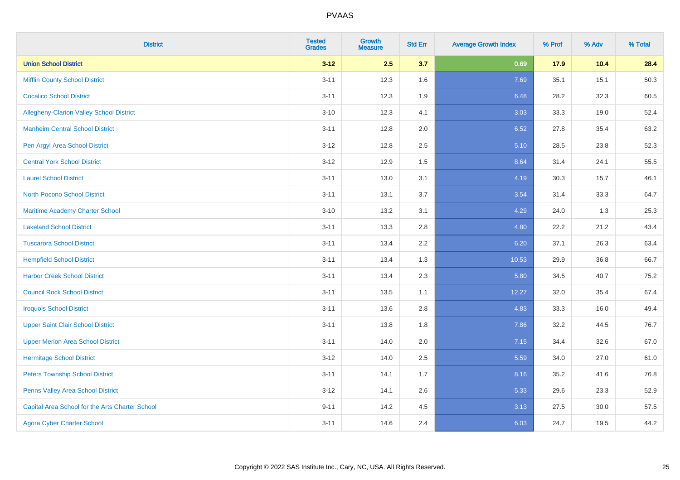| <b>District</b>                                 | <b>Tested</b><br><b>Grades</b> | Growth<br><b>Measure</b> | <b>Std Err</b> | <b>Average Growth Index</b> | % Prof | % Adv | % Total |
|-------------------------------------------------|--------------------------------|--------------------------|----------------|-----------------------------|--------|-------|---------|
| <b>Union School District</b>                    | $3 - 12$                       | 2.5                      | 3.7            | 0.69                        | 17.9   | 10.4  | 28.4    |
| <b>Mifflin County School District</b>           | $3 - 11$                       | 12.3                     | 1.6            | 7.69                        | 35.1   | 15.1  | 50.3    |
| <b>Cocalico School District</b>                 | $3 - 11$                       | 12.3                     | 1.9            | 6.48                        | 28.2   | 32.3  | 60.5    |
| Allegheny-Clarion Valley School District        | $3 - 10$                       | 12.3                     | 4.1            | 3.03                        | 33.3   | 19.0  | 52.4    |
| <b>Manheim Central School District</b>          | $3 - 11$                       | 12.8                     | 2.0            | 6.52                        | 27.8   | 35.4  | 63.2    |
| Pen Argyl Area School District                  | $3 - 12$                       | 12.8                     | 2.5            | 5.10                        | 28.5   | 23.8  | 52.3    |
| <b>Central York School District</b>             | $3 - 12$                       | 12.9                     | 1.5            | 8.64                        | 31.4   | 24.1  | 55.5    |
| <b>Laurel School District</b>                   | $3 - 11$                       | 13.0                     | 3.1            | 4.19                        | 30.3   | 15.7  | 46.1    |
| North Pocono School District                    | $3 - 11$                       | 13.1                     | 3.7            | 3.54                        | 31.4   | 33.3  | 64.7    |
| <b>Maritime Academy Charter School</b>          | $3 - 10$                       | 13.2                     | 3.1            | 4.29                        | 24.0   | 1.3   | 25.3    |
| <b>Lakeland School District</b>                 | $3 - 11$                       | 13.3                     | 2.8            | 4.80                        | 22.2   | 21.2  | 43.4    |
| <b>Tuscarora School District</b>                | $3 - 11$                       | 13.4                     | 2.2            | 6.20                        | 37.1   | 26.3  | 63.4    |
| <b>Hempfield School District</b>                | $3 - 11$                       | 13.4                     | 1.3            | 10.53                       | 29.9   | 36.8  | 66.7    |
| <b>Harbor Creek School District</b>             | $3 - 11$                       | 13.4                     | 2.3            | 5.80                        | 34.5   | 40.7  | 75.2    |
| <b>Council Rock School District</b>             | $3 - 11$                       | 13.5                     | 1.1            | 12.27                       | 32.0   | 35.4  | 67.4    |
| <b>Iroquois School District</b>                 | $3 - 11$                       | 13.6                     | 2.8            | 4.83                        | 33.3   | 16.0  | 49.4    |
| <b>Upper Saint Clair School District</b>        | $3 - 11$                       | 13.8                     | 1.8            | 7.86                        | 32.2   | 44.5  | 76.7    |
| <b>Upper Merion Area School District</b>        | $3 - 11$                       | 14.0                     | 2.0            | 7.15                        | 34.4   | 32.6  | 67.0    |
| <b>Hermitage School District</b>                | $3 - 12$                       | 14.0                     | 2.5            | 5.59                        | 34.0   | 27.0  | 61.0    |
| <b>Peters Township School District</b>          | $3 - 11$                       | 14.1                     | 1.7            | 8.16                        | 35.2   | 41.6  | 76.8    |
| Penns Valley Area School District               | $3 - 12$                       | 14.1                     | 2.6            | 5.33                        | 29.6   | 23.3  | 52.9    |
| Capital Area School for the Arts Charter School | $9 - 11$                       | 14.2                     | 4.5            | 3.13                        | 27.5   | 30.0  | 57.5    |
| <b>Agora Cyber Charter School</b>               | $3 - 11$                       | 14.6                     | 2.4            | 6.03                        | 24.7   | 19.5  | 44.2    |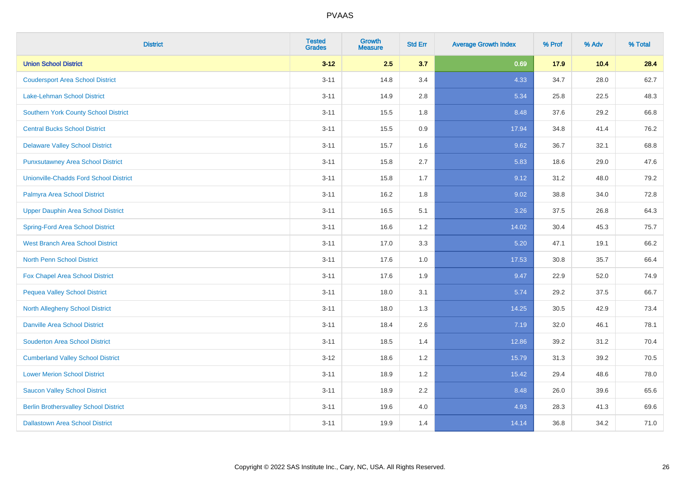| <b>District</b>                               | <b>Tested</b><br><b>Grades</b> | <b>Growth</b><br><b>Measure</b> | <b>Std Err</b> | <b>Average Growth Index</b> | % Prof | % Adv | % Total |
|-----------------------------------------------|--------------------------------|---------------------------------|----------------|-----------------------------|--------|-------|---------|
| <b>Union School District</b>                  | $3 - 12$                       | 2.5                             | 3.7            | 0.69                        | 17.9   | 10.4  | 28.4    |
| <b>Coudersport Area School District</b>       | $3 - 11$                       | 14.8                            | 3.4            | 4.33                        | 34.7   | 28.0  | 62.7    |
| Lake-Lehman School District                   | $3 - 11$                       | 14.9                            | 2.8            | 5.34                        | 25.8   | 22.5  | 48.3    |
| <b>Southern York County School District</b>   | $3 - 11$                       | 15.5                            | 1.8            | 8.48                        | 37.6   | 29.2  | 66.8    |
| <b>Central Bucks School District</b>          | $3 - 11$                       | 15.5                            | 0.9            | 17.94                       | 34.8   | 41.4  | 76.2    |
| <b>Delaware Valley School District</b>        | $3 - 11$                       | 15.7                            | 1.6            | 9.62                        | 36.7   | 32.1  | 68.8    |
| <b>Punxsutawney Area School District</b>      | $3 - 11$                       | 15.8                            | 2.7            | 5.83                        | 18.6   | 29.0  | 47.6    |
| <b>Unionville-Chadds Ford School District</b> | $3 - 11$                       | 15.8                            | 1.7            | 9.12                        | 31.2   | 48.0  | 79.2    |
| Palmyra Area School District                  | $3 - 11$                       | 16.2                            | 1.8            | 9.02                        | 38.8   | 34.0  | 72.8    |
| <b>Upper Dauphin Area School District</b>     | $3 - 11$                       | 16.5                            | 5.1            | 3.26                        | 37.5   | 26.8  | 64.3    |
| <b>Spring-Ford Area School District</b>       | $3 - 11$                       | 16.6                            | 1.2            | 14.02                       | 30.4   | 45.3  | 75.7    |
| <b>West Branch Area School District</b>       | $3 - 11$                       | 17.0                            | 3.3            | 5.20                        | 47.1   | 19.1  | 66.2    |
| North Penn School District                    | $3 - 11$                       | 17.6                            | 1.0            | 17.53                       | 30.8   | 35.7  | 66.4    |
| <b>Fox Chapel Area School District</b>        | $3 - 11$                       | 17.6                            | 1.9            | 9.47                        | 22.9   | 52.0  | 74.9    |
| <b>Pequea Valley School District</b>          | $3 - 11$                       | 18.0                            | 3.1            | 5.74                        | 29.2   | 37.5  | 66.7    |
| North Allegheny School District               | $3 - 11$                       | 18.0                            | 1.3            | 14.25                       | 30.5   | 42.9  | 73.4    |
| <b>Danville Area School District</b>          | $3 - 11$                       | 18.4                            | 2.6            | 7.19                        | 32.0   | 46.1  | 78.1    |
| <b>Souderton Area School District</b>         | $3 - 11$                       | 18.5                            | 1.4            | 12.86                       | 39.2   | 31.2  | 70.4    |
| <b>Cumberland Valley School District</b>      | $3 - 12$                       | 18.6                            | 1.2            | 15.79                       | 31.3   | 39.2  | 70.5    |
| <b>Lower Merion School District</b>           | $3 - 11$                       | 18.9                            | 1.2            | 15.42                       | 29.4   | 48.6  | 78.0    |
| <b>Saucon Valley School District</b>          | $3 - 11$                       | 18.9                            | 2.2            | 8.48                        | 26.0   | 39.6  | 65.6    |
| <b>Berlin Brothersvalley School District</b>  | $3 - 11$                       | 19.6                            | 4.0            | 4.93                        | 28.3   | 41.3  | 69.6    |
| <b>Dallastown Area School District</b>        | $3 - 11$                       | 19.9                            | 1.4            | 14.14                       | 36.8   | 34.2  | 71.0    |